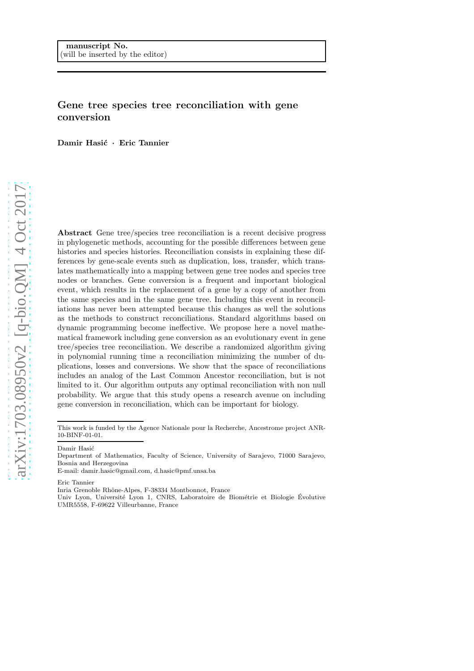# Gene tree species tree reconciliation with gene conversion

Damir Hasić · Eric Tannier

Abstract Gene tree/species tree reconciliation is a recent decisive progress in phylogenetic methods, accounting for the possible differences between gene histories and species histories. Reconciliation consists in explaining these differences by gene-scale events such as duplication, loss, transfer, which translates mathematically into a mapping between gene tree nodes and species tree nodes or branches. Gene conversion is a frequent and important biological event, which results in the replacement of a gene by a copy of another from the same species and in the same gene tree. Including this event in reconciliations has never been attempted because this changes as well the solutions as the methods to construct reconciliations. Standard algorithms based on dynamic programming become ineffective. We propose here a novel mathematical framework including gene conversion as an evolutionary event in gene tree/species tree reconciliation. We describe a randomized algorithm giving in polynomial running time a reconciliation minimizing the number of duplications, losses and conversions. We show that the space of reconciliations includes an analog of the Last Common Ancestor reconciliation, but is not limited to it. Our algorithm outputs any optimal reconciliation with non null probability. We argue that this study opens a research avenue on including gene conversion in reconciliation, which can be important for biology.

Damir Hasić

Eric Tannier

Inria Grenoble Rhˆone-Alpes, F-38334 Montbonnot, France

This work is funded by the Agence Nationale pour la Recherche, Ancestrome project ANR-10-BINF-01-01.

Department of Mathematics, Faculty of Science, University of Sarajevo, 71000 Sarajevo, Bosnia and Herzegovina

E-mail: damir.hasic@gmail.com, d.hasic@pmf.unsa.ba

Univ Lyon, Université Lyon 1, CNRS, Laboratoire de Biométrie et Biologie Évolutive UMR5558, F-69622 Villeurbanne, France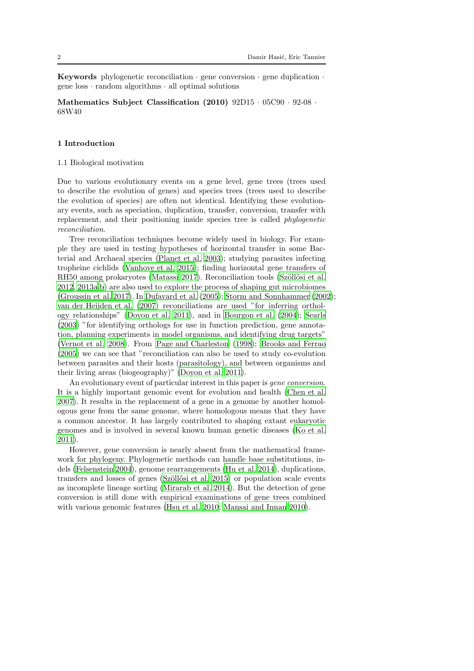Keywords phylogenetic reconciliation  $\cdot$  gene conversion  $\cdot$  gene duplication  $\cdot$ gene  $loss \cdot random$  algorithms  $\cdot$  all optimal solutions

Mathematics Subject Classification (2010) 92D15 · 05C90 · 92-08 · 68W40

## 1 Introduction

## 1.1 Biological motivation

Due to various evolutionary events on a gene level, gene trees (trees used to describe the evolution of genes) and species trees (trees used to describe the evolution of species) are often not identical. Identifying these evolutionary events, such as speciation, duplication, transfer, conversion, transfer with replacement, and their positioning inside species tree is called phylogenetic reconciliation.

Tree reconciliation techniques become widely used in biology. For example they are used in testing hypotheses of horizontal transfer in some Bacterial and Archaeal species [\(Planet et al. 2003\)](#page-36-0); studying parasites infecting tropheine cichlids [\(Vanhove et al. 2015](#page-37-0)); finding horizontal gene transfers of RH50 among prokaryotes [\(Matassi 2017\)](#page-36-1). Reconciliation tools (Szöllősi et al. [2012,](#page-37-1) 2013a,b) are also used to explore the process of shaping gut microbiomes [\(Groussin et al. 2017\)](#page-36-2). In [Dufayard et al. \(2005\)](#page-35-0); [Storm and Sonnhammer \(2002](#page-37-2)); [van der Heijden et al. \(2007\)](#page-36-3) reconciliations are used "for inferring orthology relationships" [\(Doyon et al. 2011\)](#page-35-1), and in [Bourgon et al. \(2004](#page-35-2)); [Searls](#page-37-3) [\(2003\)](#page-37-3) "for identifying orthologs for use in function prediction, gene annotation, planning experiments in model organisms, and identifying drug targets" [\(Vernot et al. 2008\)](#page-37-4). From [Page and Charleston \(1998\)](#page-36-4); [Brooks and Ferrao](#page-35-3) [\(2005\)](#page-35-3) we can see that "reconciliation can also be used to study co-evolution between parasites and their hosts (parasitology), and between organisms and their living areas (biogeography)" [\(Doyon et al. 2011\)](#page-35-1).

An evolutionary event of particular interest in this paper is gene conversion. It is a highly important genomic event for evolution and health [\(Chen et al.](#page-35-4) [2007\)](#page-35-4). It results in the replacement of a gene in a genome by another homologous gene from the same genome, where homologous means that they have a common ancestor. It has largely contributed to shaping extant eukaryotic genomes and is involved in several known human genetic diseases (Ko [et al.](#page-36-5) [2011\)](#page-36-5).

However, gene conversion is nearly absent from the mathematical framework for phylogeny. Phylogenetic methods can handle base substitutions, indels [\(Felsenstein 2004\)](#page-35-5), genome rearrangements [\(Hu et al. 2014](#page-36-6)), duplications, transfers and losses of genes (Szöllősi et al. 2015) or population scale events as incomplete lineage sorting [\(Mirarab et al. 2014\)](#page-36-7). But the detection of gene conversion is still done with empirical examinations of gene trees combined with various genomic features [\(Hsu et al. 2010;](#page-36-8) [Mansai and Innan 2010](#page-36-9)).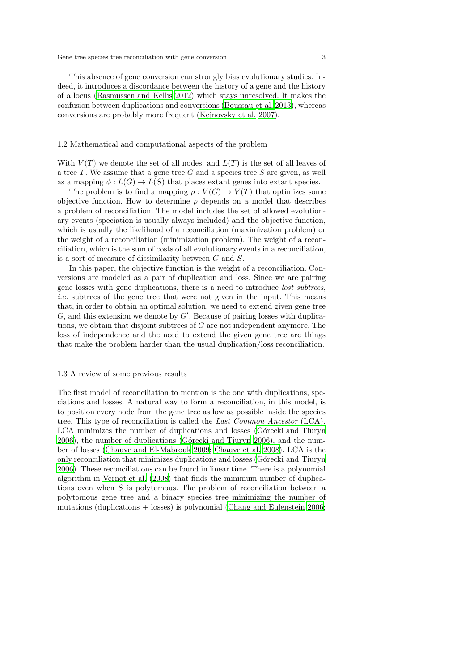This absence of gene conversion can strongly bias evolutionary studies. Indeed, it introduces a discordance between the history of a gene and the history of a locus [\(Rasmussen and Kellis 2012\)](#page-37-6) which stays unresolved. It makes the confusion between duplications and conversions [\(Boussau et al. 2013\)](#page-35-6), whereas conversions are probably more frequent [\(Kejnovsky et al. 2007\)](#page-36-10).

#### 1.2 Mathematical and computational aspects of the problem

With  $V(T)$  we denote the set of all nodes, and  $L(T)$  is the set of all leaves of a tree T. We assume that a gene tree G and a species tree S are given, as well as a mapping  $\phi: L(G) \to L(S)$  that places extant genes into extant species.

The problem is to find a mapping  $\rho: V(G) \to V(T)$  that optimizes some objective function. How to determine  $\rho$  depends on a model that describes a problem of reconciliation. The model includes the set of allowed evolutionary events (speciation is usually always included) and the objective function, which is usually the likelihood of a reconciliation (maximization problem) or the weight of a reconciliation (minimization problem). The weight of a reconciliation, which is the sum of costs of all evolutionary events in a reconciliation, is a sort of measure of dissimilarity between G and S.

In this paper, the objective function is the weight of a reconciliation. Conversions are modeled as a pair of duplication and loss. Since we are pairing gene losses with gene duplications, there is a need to introduce lost subtrees, i.e. subtrees of the gene tree that were not given in the input. This means that, in order to obtain an optimal solution, we need to extend given gene tree  $G$ , and this extension we denote by  $G'$ . Because of pairing losses with duplications, we obtain that disjoint subtrees of G are not independent anymore. The loss of independence and the need to extend the given gene tree are things that make the problem harder than the usual duplication/loss reconciliation.

## 1.3 A review of some previous results

The first model of reconciliation to mention is the one with duplications, speciations and losses. A natural way to form a reconciliation, in this model, is to position every node from the gene tree as low as possible inside the species tree. This type of reconciliation is called the Last Common Ancestor (LCA). LCA minimizes the number of duplications and losses (Górecki and Tiuryn [2006\)](#page-35-7), the number of duplications (Górecki and Tiuryn 2006), and the number of losses [\(Chauve and El-Mabrouk 2009;](#page-35-8) [Chauve et al. 2008\)](#page-35-9). LCA is the only reconciliation that minimizes duplications and losses (Górecki and Tiuryn [2006\)](#page-35-7). These reconciliations can be found in linear time. There is a polynomial algorithm in [Vernot et al. \(2008](#page-37-4)) that finds the minimum number of duplications even when S is polytomous. The problem of reconciliation between a polytomous gene tree and a binary species tree minimizing the number of mutations (duplications + losses) is polynomial [\(Chang and Eulenstein](#page-35-10) [2006;](#page-35-10)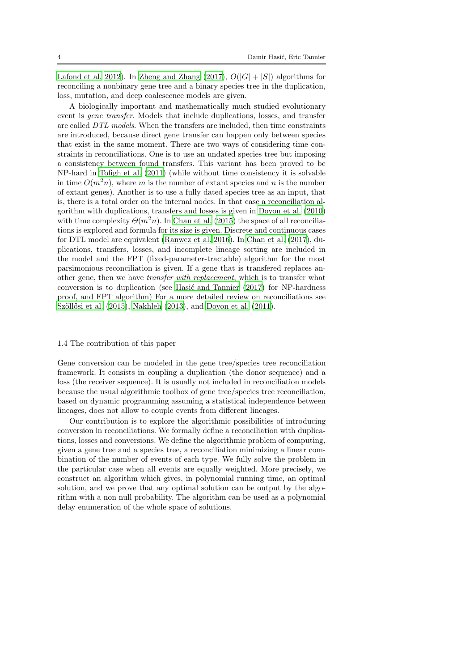[Lafond et al. 2012\)](#page-36-11). In [Zheng and Zhang \(2017\)](#page-37-7),  $O(|G| + |S|)$  algorithms for reconciling a nonbinary gene tree and a binary species tree in the duplication, loss, mutation, and deep coalescence models are given.

A biologically important and mathematically much studied evolutionary event is gene transfer. Models that include duplications, losses, and transfer are called DTL models. When the transfers are included, then time constraints are introduced, because direct gene transfer can happen only between species that exist in the same moment. There are two ways of considering time constraints in reconciliations. One is to use an undated species tree but imposing a consistency between found transfers. This variant has been proved to be NP-hard in [Tofigh et al. \(2011\)](#page-37-8) (while without time consistency it is solvable in time  $O(m<sup>2</sup>n)$ , where m is the number of extant species and n is the number of extant genes). Another is to use a fully dated species tree as an input, that is, there is a total order on the internal nodes. In that case a reconciliation algorithm with duplications, transfers and losses is given in [Doyon et al.](#page-35-11) [\(2010\)](#page-35-11) with time complexity  $\Theta(m^2n)$ . In [Chan et al. \(2015\)](#page-35-12) the space of all reconciliations is explored and formula for its size is given. Discrete and continuous cases for DTL model are equivalent [\(Ranwez et al. 2016](#page-37-9)). In [Chan et al. \(2017\)](#page-35-13), duplications, transfers, losses, and incomplete lineage sorting are included in the model and the FPT (fixed-parameter-tractable) algorithm for the most parsimonious reconciliation is given. If a gene that is transfered replaces another gene, then we have transfer with replacement, which is to transfer what conversion is to duplication (see Hasić and Tannier  $(2017)$  for NP-hardness proof, and FPT algorithm) For a more detailed review on reconciliations see Szöllősi et al. (2015), [Nakhleh \(2013\)](#page-36-13), and [Doyon et al. \(2011\)](#page-35-1).

#### 1.4 The contribution of this paper

Gene conversion can be modeled in the gene tree/species tree reconciliation framework. It consists in coupling a duplication (the donor sequence) and a loss (the receiver sequence). It is usually not included in reconciliation models because the usual algorithmic toolbox of gene tree/species tree reconciliation, based on dynamic programming assuming a statistical independence between lineages, does not allow to couple events from different lineages.

Our contribution is to explore the algorithmic possibilities of introducing conversion in reconciliations. We formally define a reconciliation with duplications, losses and conversions. We define the algorithmic problem of computing, given a gene tree and a species tree, a reconciliation minimizing a linear combination of the number of events of each type. We fully solve the problem in the particular case when all events are equally weighted. More precisely, we construct an algorithm which gives, in polynomial running time, an optimal solution, and we prove that any optimal solution can be output by the algorithm with a non null probability. The algorithm can be used as a polynomial delay enumeration of the whole space of solutions.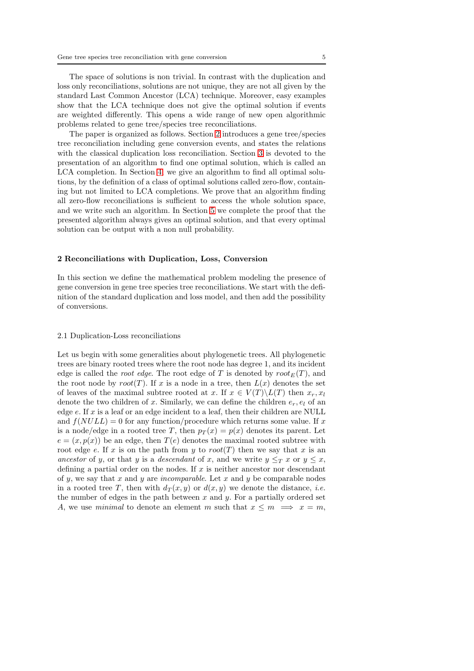The space of solutions is non trivial. In contrast with the duplication and loss only reconciliations, solutions are not unique, they are not all given by the standard Last Common Ancestor (LCA) technique. Moreover, easy examples show that the LCA technique does not give the optimal solution if events are weighted differently. This opens a wide range of new open algorithmic problems related to gene tree/species tree reconciliations.

The paper is organized as follows. Section [2](#page-4-0) introduces a gene tree/species tree reconciliation including gene conversion events, and states the relations with the classical duplication loss reconciliation. Section [3](#page-10-0) is devoted to the presentation of an algorithm to find one optimal solution, which is called an LCA completion. In Section [4,](#page-19-0) we give an algorithm to find all optimal solutions, by the definition of a class of optimal solutions called zero-flow, containing but not limited to LCA completions. We prove that an algorithm finding all zero-flow reconciliations is sufficient to access the whole solution space, and we write such an algorithm. In Section [5](#page-29-0) we complete the proof that the presented algorithm always gives an optimal solution, and that every optimal solution can be output with a non null probability.

## <span id="page-4-0"></span>2 Reconciliations with Duplication, Loss, Conversion

In this section we define the mathematical problem modeling the presence of gene conversion in gene tree species tree reconciliations. We start with the definition of the standard duplication and loss model, and then add the possibility of conversions.

## 2.1 Duplication-Loss reconciliations

Let us begin with some generalities about phylogenetic trees. All phylogenetic trees are binary rooted trees where the root node has degree 1, and its incident edge is called the *root edge*. The root edge of T is denoted by  $root_E(T)$ , and the root node by root(T). If x is a node in a tree, then  $L(x)$  denotes the set of leaves of the maximal subtree rooted at x. If  $x \in V(T) \backslash L(T)$  then  $x_r, x_l$ denote the two children of x. Similarly, we can define the children  $e_r, e_l$  of an edge  $e$ . If  $x$  is a leaf or an edge incident to a leaf, then their children are NULL and  $f(NULL) = 0$  for any function/procedure which returns some value. If x is a node/edge in a rooted tree T, then  $p_T(x) = p(x)$  denotes its parent. Let  $e = (x, p(x))$  be an edge, then  $T(e)$  denotes the maximal rooted subtree with root edge e. If x is on the path from y to  $root(T)$  then we say that x is an ancestor of y, or that y is a descendant of x, and we write  $y \leq_T x$  or  $y \leq x$ , defining a partial order on the nodes. If  $x$  is neither ancestor nor descendant of y, we say that x and y are incomparable. Let x and y be comparable nodes in a rooted tree T, then with  $d_T(x, y)$  or  $d(x, y)$  we denote the distance, *i.e.* the number of edges in the path between  $x$  and  $y$ . For a partially ordered set A, we use minimal to denote an element m such that  $x \leq m \implies x = m$ ,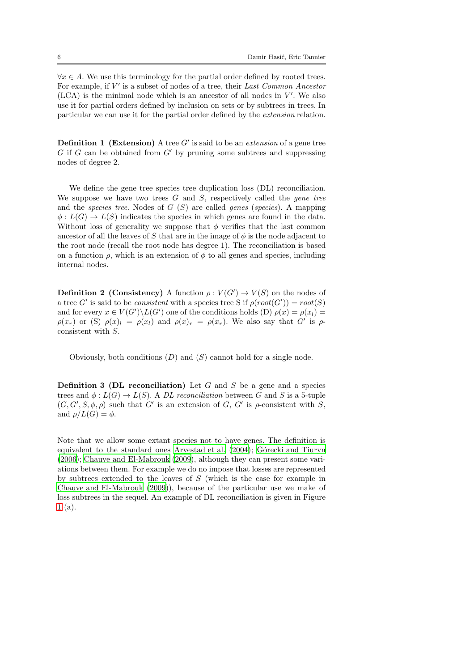$\forall x \in A$ . We use this terminology for the partial order defined by rooted trees. For example, if  $V'$  is a subset of nodes of a tree, their Last Common Ancestor  $(LCA)$  is the minimal node which is an ancestor of all nodes in  $V'$ . We also use it for partial orders defined by inclusion on sets or by subtrees in trees. In particular we can use it for the partial order defined by the extension relation.

**Definition 1** (Extension) A tree  $G'$  is said to be an *extension* of a gene tree  $G$  if  $G$  can be obtained from  $G'$  by pruning some subtrees and suppressing nodes of degree 2.

We define the gene tree species tree duplication loss  $(DL)$  reconciliation. We suppose we have two trees  $G$  and  $S$ , respectively called the *gene* tree and the species tree. Nodes of  $G(S)$  are called genes (species). A mapping  $\phi: L(G) \to L(S)$  indicates the species in which genes are found in the data. Without loss of generality we suppose that  $\phi$  verifies that the last common ancestor of all the leaves of S that are in the image of  $\phi$  is the node adjacent to the root node (recall the root node has degree 1). The reconciliation is based on a function  $\rho$ , which is an extension of  $\phi$  to all genes and species, including internal nodes.

<span id="page-5-0"></span>**Definition 2 (Consistency)** A function  $\rho: V(G') \to V(S)$  on the nodes of a tree G' is said to be *consistent* with a species tree S if  $\rho(root(G')) = root(S)$ and for every  $x \in V(G') \backslash L(G')$  one of the conditions holds (D)  $\rho(x) = \rho(x)$  =  $\rho(x_r)$  or (S)  $\rho(x)$ <sub>l</sub> =  $\rho(x_l)$  and  $\rho(x)_r = \rho(x_r)$ . We also say that G' is  $\rho$ consistent with S.

Obviously, both conditions  $(D)$  and  $(S)$  cannot hold for a single node.

**Definition 3 (DL reconciliation)** Let  $G$  and  $S$  be a gene and a species trees and  $\phi: L(G) \to L(S)$ . A *DL reconciliation* between G and S is a 5-tuple  $(G, G', S, \phi, \rho)$  such that G' is an extension of G, G' is  $\rho$ -consistent with S, and  $\rho/L(G) = \phi$ .

Note that we allow some extant species not to have genes. The definition is equivalent to the standard ones [Arvestad et al. \(2004\)](#page-34-0); Górecki and Tiuryn [\(2006\)](#page-35-7); [Chauve and El-Mabrouk \(2009\)](#page-35-8), although they can present some variations between them. For example we do no impose that losses are represented by subtrees extended to the leaves of S (which is the case for example in [Chauve and El-Mabrouk \(2009\)](#page-35-8)), because of the particular use we make of loss subtrees in the sequel. An example of DL reconciliation is given in Figure [1](#page-6-0) (a).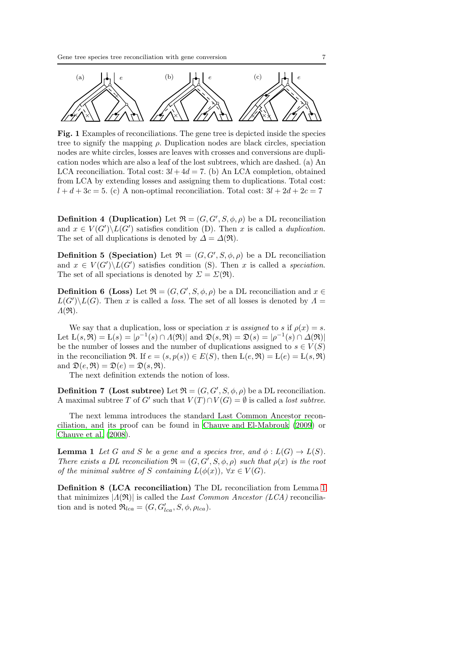<span id="page-6-0"></span>

Fig. 1 Examples of reconciliations. The gene tree is depicted inside the species tree to signify the mapping  $\rho$ . Duplication nodes are black circles, speciation nodes are white circles, losses are leaves with crosses and conversions are duplication nodes which are also a leaf of the lost subtrees, which are dashed. (a) An LCA reconciliation. Total cost:  $3l + 4d = 7$ . (b) An LCA completion, obtained from LCA by extending losses and assigning them to duplications. Total cost:  $l + d + 3c = 5$ . (c) A non-optimal reconciliation. Total cost:  $3l + 2d + 2c = 7$ 

**Definition 4 (Duplication)** Let  $\mathfrak{R} = (G, G', S, \phi, \rho)$  be a DL reconciliation and  $x \in V(G') \backslash L(G')$  satisfies condition (D). Then x is called a *duplication*. The set of all duplications is denoted by  $\Delta = \Delta(\mathfrak{R})$ .

**Definition 5 (Speciation)** Let  $\mathfrak{R} = (G, G', S, \phi, \rho)$  be a DL reconciliation and  $x \in V(G')\backslash L(G')$  satisfies condition (S). Then x is called a speciation. The set of all speciations is denoted by  $\Sigma = \Sigma(\mathfrak{R})$ .

**Definition 6 (Loss)** Let  $\mathfrak{R} = (G, G', S, \phi, \rho)$  be a DL reconciliation and  $x \in$  $L(G')\backslash L(G)$ . Then x is called a *loss*. The set of all losses is denoted by  $\Lambda =$  $\Lambda(\mathfrak{R}).$ 

We say that a duplication, loss or speciation x is assigned to s if  $\rho(x) = s$ . Let  $L(s, \mathfrak{R}) = L(s) = |\rho^{-1}(s) \cap \Lambda(\mathfrak{R})|$  and  $\mathfrak{D}(s, \mathfrak{R}) = \mathfrak{D}(s) = |\rho^{-1}(s) \cap \Lambda(\mathfrak{R})|$ be the number of losses and the number of duplications assigned to  $s \in V(S)$ in the reconciliation  $\Re$ . If  $e = (s, p(s)) \in E(S)$ , then  $L(e, \Re) = L(e) = L(s, \Re)$ and  $\mathfrak{D}(e, \mathfrak{R}) = \mathfrak{D}(e) = \mathfrak{D}(s, \mathfrak{R}).$ 

The next definition extends the notion of loss.

**Definition 7** (Lost subtree) Let  $\mathfrak{R} = (G, G', S, \phi, \rho)$  be a DL reconciliation. A maximal subtree T of G' such that  $V(T) \cap V(G) = \emptyset$  is called a *lost subtree*.

The next lemma introduces the standard Last Common Ancestor reconciliation, and its proof can be found in [Chauve and El-Mabrouk \(2009](#page-35-8)) or [Chauve et al. \(2008](#page-35-9)).

<span id="page-6-1"></span>**Lemma 1** Let G and S be a gene and a species tree, and  $\phi : L(G) \to L(S)$ . There exists a DL reconciliation  $\mathfrak{R} = (G, G', S, \phi, \rho)$  such that  $\rho(x)$  is the root of the minimal subtree of S containing  $L(\phi(x))$ ,  $\forall x \in V(G)$ .

Definition 8 (LCA reconciliation) The DL reconciliation from Lemma [1](#page-6-1) that minimizes  $|A(\mathfrak{R})|$  is called the Last Common Ancestor (LCA) reconciliation and is noted  $\mathfrak{R}_{lca} = (G, G'_{lca}, S, \phi, \rho_{lca})$ .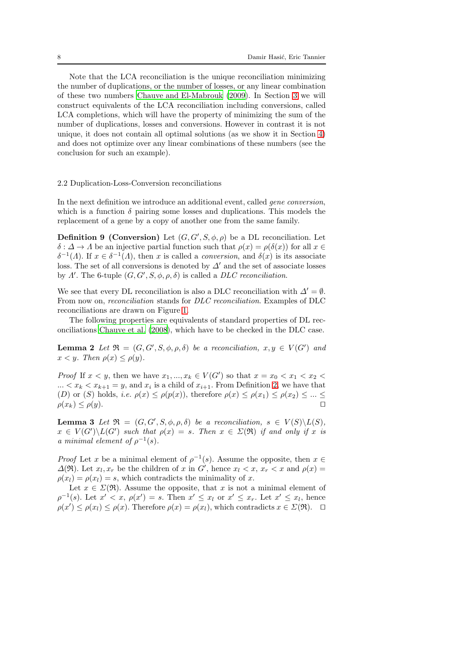Note that the LCA reconciliation is the unique reconciliation minimizing the number of duplications, or the number of losses, or any linear combination of these two numbers [Chauve and El-Mabrouk \(2009\)](#page-35-8). In Section [3](#page-10-0) we will construct equivalents of the LCA reconciliation including conversions, called LCA completions, which will have the property of minimizing the sum of the number of duplications, losses and conversions. However in contrast it is not unique, it does not contain all optimal solutions (as we show it in Section [4\)](#page-19-0) and does not optimize over any linear combinations of these numbers (see the conclusion for such an example).

## 2.2 Duplication-Loss-Conversion reconciliations

In the next definition we introduce an additional event, called gene conversion, which is a function  $\delta$  pairing some losses and duplications. This models the replacement of a gene by a copy of another one from the same family.

**Definition 9 (Conversion)** Let  $(G, G', S, \phi, \rho)$  be a DL reconciliation. Let  $\delta: \Delta \to \Lambda$  be an injective partial function such that  $\rho(x) = \rho(\delta(x))$  for all  $x \in$  $\delta^{-1}(A)$ . If  $x \in \delta^{-1}(A)$ , then x is called a *conversion*, and  $\delta(x)$  is its associate loss. The set of all conversions is denoted by  $\Delta'$  and the set of associate losses by  $\Lambda'$ . The 6-tuple  $(G, G', S, \phi, \rho, \delta)$  is called a DLC reconciliation.

We see that every DL reconciliation is also a DLC reconciliation with  $\Delta' = \emptyset$ . From now on, reconciliation stands for DLC reconciliation. Examples of DLC reconciliations are drawn on Figure [1.](#page-6-0)

The following properties are equivalents of standard properties of DL reconciliations [Chauve et al. \(2008\)](#page-35-9), which have to be checked in the DLC case.

**Lemma 2** Let  $\mathfrak{R} = (G, G', S, \phi, \rho, \delta)$  be a reconciliation,  $x, y \in V(G')$  and  $x < y$ . Then  $\rho(x) \leq \rho(y)$ .

*Proof* If  $x < y$ , then we have  $x_1, ..., x_k \in V(G')$  so that  $x = x_0 < x_1 < x_2 <$  $\ldots < x_k < x_{k+1} = y$ , and  $x_i$  is a child of  $x_{i+1}$ . From Definition [2,](#page-5-0) we have that (D) or (S) holds, i.e.  $\rho(x) \leq \rho(p(x))$ , therefore  $\rho(x) \leq \rho(x_1) \leq \rho(x_2) \leq ... \leq$  $\rho(x_k) \leq \rho(y)$ .

<span id="page-7-0"></span>**Lemma 3** Let  $\mathfrak{R} = (G, G', S, \phi, \rho, \delta)$  be a reconciliation,  $s \in V(S) \setminus L(S)$ ,  $x \in V(G')\backslash L(G')$  such that  $\rho(x) = s$ . Then  $x \in \Sigma(\mathfrak{R})$  if and only if x is a minimal element of  $\rho^{-1}(s)$ .

*Proof* Let x be a minimal element of  $\rho^{-1}(s)$ . Assume the opposite, then  $x \in$  $\Delta(\mathfrak{R})$ . Let  $x_l, x_r$  be the children of x in G', hence  $x_l < x$ ,  $x_r < x$  and  $\rho(x) =$  $\rho(x_l) = \rho(x_l) = s$ , which contradicts the minimality of x.

Let  $x \in \Sigma(\mathfrak{R})$ . Assume the opposite, that x is not a minimal element of  $\rho^{-1}(s)$ . Let  $x' < x$ ,  $\rho(x') = s$ . Then  $x' \leq x_l$  or  $x' \leq x_r$ . Let  $x' \leq x_l$ , hence  $\rho(x') \leq \rho(x_l) \leq \rho(x)$ . Therefore  $\rho(x) = \rho(x_l)$ , which contradicts  $x \in \Sigma(\mathfrak{R})$ . □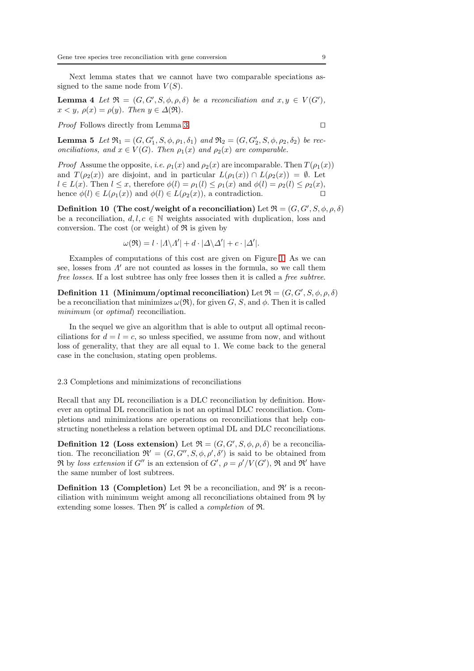<span id="page-8-1"></span>Next lemma states that we cannot have two comparable speciations assigned to the same node from  $V(S)$ .

**Lemma 4** Let  $\mathfrak{R} = (G, G', S, \phi, \rho, \delta)$  be a reconciliation and  $x, y \in V(G')$ ,  $x < y$ ,  $\rho(x) = \rho(y)$ . Then  $y \in \Delta(\mathfrak{R})$ .

<span id="page-8-0"></span>Proof Follows directly from Lemma [3.](#page-7-0) □

**Lemma 5** Let  $\mathfrak{R}_1 = (G, G'_1, S, \phi, \rho_1, \delta_1)$  and  $\mathfrak{R}_2 = (G, G'_2, S, \phi, \rho_2, \delta_2)$  be reconciliations, and  $x \in V(G)$ . Then  $\rho_1(x)$  and  $\rho_2(x)$  are comparable.

*Proof* Assume the opposite, *i.e.*  $\rho_1(x)$  and  $\rho_2(x)$  are incomparable. Then  $T(\rho_1(x))$ and  $T(\rho_2(x))$  are disjoint, and in particular  $L(\rho_1(x)) \cap L(\rho_2(x)) = \emptyset$ . Let  $l \in L(x)$ . Then  $l \leq x$ , therefore  $\phi(l) = \rho_1(l) \leq \rho_1(x)$  and  $\phi(l) = \rho_2(l) \leq \rho_2(x)$ , hence  $\phi(l) \in L(\rho_1(x))$  and  $\phi(l) \in L(\rho_2(x))$ , a contradiction. □

Definition 10 (The cost/weight of a reconciliation) Let  $\mathfrak{R} = (G, G', S, \phi, \rho, \delta)$ be a reconciliation,  $d, l, c \in \mathbb{N}$  weights associated with duplication, loss and conversion. The cost (or weight) of  $\Re$  is given by

$$
\omega(\mathfrak{R}) = l \cdot |A \backslash A'| + d \cdot |\Delta \backslash \Delta'| + c \cdot |\Delta'|.
$$

Examples of computations of this cost are given on Figure [1.](#page-6-0) As we can see, losses from  $\Lambda'$  are not counted as losses in the formula, so we call them free losses. If a lost subtree has only free losses then it is called a free subtree.

Definition 11 (Minimum/optimal reconciliation) Let  $\mathfrak{R} = (G, G', S, \phi, \rho, \delta)$ be a reconciliation that minimizes  $\omega(\mathfrak{R})$ , for given G, S, and  $\phi$ . Then it is called minimum (or *optimal*) reconciliation.

In the sequel we give an algorithm that is able to output all optimal reconciliations for  $d = l = c$ , so unless specified, we assume from now, and without loss of generality, that they are all equal to 1. We come back to the general case in the conclusion, stating open problems.

#### 2.3 Completions and minimizations of reconciliations

Recall that any DL reconciliation is a DLC reconciliation by definition. However an optimal DL reconciliation is not an optimal DLC reconciliation. Completions and minimizations are operations on reconciliations that help constructing nonetheless a relation between optimal DL and DLC reconciliations.

**Definition 12 (Loss extension)** Let  $\mathfrak{R} = (G, G', S, \phi, \rho, \delta)$  be a reconciliation. The reconciliation  $\mathfrak{R}' = (G, G'', S, \phi, \rho', \delta')$  is said to be obtained from  $\Re$  by loss extension if G'' is an extension of G',  $\rho = \rho'/V(G')$ ,  $\Re$  and  $\Re'$  have the same number of lost subtrees.

**Definition 13 (Completion)** Let  $\Re$  be a reconciliation, and  $\Re'$  is a reconciliation with minimum weight among all reconciliations obtained from R by extending some losses. Then  $\mathfrak{R}'$  is called a *completion* of  $\mathfrak{R}$ .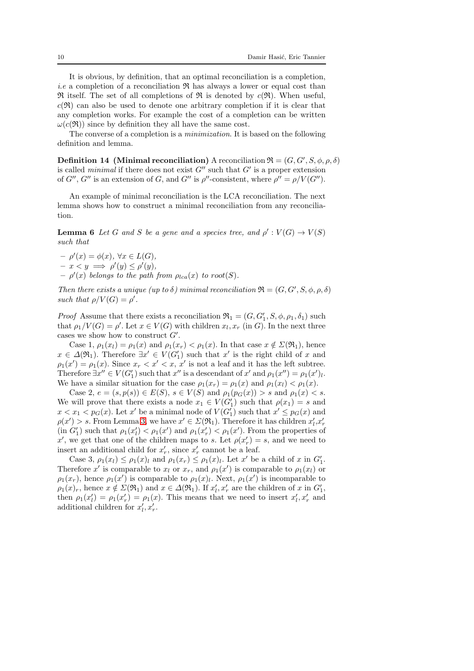It is obvious, by definition, that an optimal reconciliation is a completion, *i.e* a completion of a reconciliation  $\Re$  has always a lower or equal cost than  $\mathfrak{R}$  itself. The set of all completions of  $\mathfrak{R}$  is denoted by  $c(\mathfrak{R})$ . When useful,  $c(\mathfrak{R})$  can also be used to denote one arbitrary completion if it is clear that any completion works. For example the cost of a completion can be written  $\omega(c(\mathfrak{R}))$  since by definition they all have the same cost.

The converse of a completion is a minimization. It is based on the following definition and lemma.

**Definition 14** (Minimal reconciliation) A reconciliation  $\mathfrak{R} = (G, G', S, \phi, \rho, \delta)$ is called *minimal* if there does not exist  $G''$  such that  $G'$  is a proper extension of  $G''$ ,  $G''$  is an extension of G, and  $G''$  is  $\rho''$ -consistent, where  $\rho'' = \rho/V(G'')$ .

An example of minimal reconciliation is the LCA reconciliation. The next lemma shows how to construct a minimal reconciliation from any reconciliation.

<span id="page-9-0"></span>**Lemma 6** Let G and S be a gene and a species tree, and  $\rho' : V(G) \to V(S)$ such that

 $- \rho'(x) = \phi(x), \ \forall x \in L(G),$  $- x < y \implies \rho'(y) \leq \rho'(y),$ 

 $\rho'(x)$  belongs to the path from  $\rho_{lca}(x)$  to root(S).

Then there exists a unique (up to  $\delta$ ) minimal reconciliation  $\mathfrak{R} = (G, G', S, \phi, \rho, \delta)$ such that  $\rho/V(G) = \rho'$ .

*Proof* Assume that there exists a reconciliation  $\mathfrak{R}_1 = (G, G'_1, S, \phi, \rho_1, \delta_1)$  such that  $\rho_1/V(G) = \rho'$ . Let  $x \in V(G)$  with children  $x_l, x_r$  (in G). In the next three cases we show how to construct  $G'$ .

Case 1,  $\rho_1(x_l) = \rho_1(x)$  and  $\rho_1(x_r) < \rho_1(x)$ . In that case  $x \notin \Sigma(\mathfrak{R}_1)$ , hence  $x \in \Delta(\mathfrak{R}_1)$ . Therefore  $\exists x' \in V(G'_1)$  such that  $x'$  is the right child of x and  $\rho_1(x') = \rho_1(x)$ . Since  $x_r < x' < x$ , x' is not a leaf and it has the left subtree. Therefore  $\exists x'' \in V(G'_1)$  such that  $x''$  is a descendant of  $x'$  and  $\rho_1(x'') = \rho_1(x')_l$ . We have a similar situation for the case  $\rho_1(x_r) = \rho_1(x)$  and  $\rho_1(x_l) < \rho_1(x)$ .

Case 2,  $e = (s, p(s)) \in E(S)$ ,  $s \in V(S)$  and  $\rho_1(p_G(x)) > s$  and  $\rho_1(x) < s$ . We will prove that there exists a node  $x_1 \in V(G'_1)$  such that  $\rho(x_1) = s$  and  $x < x_1 < p_G(x)$ . Let x' be a minimal node of  $V(G'_1)$  such that  $x' \le p_G(x)$  and  $\rho(x') > s$ . From Lemma [3,](#page-7-0) we have  $x' \in \Sigma(\mathfrak{R}_1)$ . Therefore it has children  $x'_l, x'_r$ (in  $G'_1$ ) such that  $\rho_1(x'_l) < \rho_1(x')$  and  $\rho_1(x'_r) < \rho_1(x')$ . From the properties of x', we get that one of the children maps to s. Let  $\rho(x'_r) = s$ , and we need to insert an additional child for  $x'_r$ , since  $x'_r$  cannot be a leaf.

Case 3,  $\rho_1(x_l) \leq \rho_1(x_l)$  and  $\rho_1(x_r) \leq \rho_1(x_l)$ . Let x' be a child of x in  $G'_1$ . Therefore x' is comparable to  $x_l$  or  $x_r$ , and  $\rho_1(x')$  is comparable to  $\rho_1(x_l)$  or  $\rho_1(x_r)$ , hence  $\rho_1(x')$  is comparable to  $\rho_1(x)$ . Next,  $\rho_1(x')$  is incomparable to  $\rho_1(x)_r$ , hence  $x \notin \Sigma(\mathfrak{R}_1)$  and  $x \in \Delta(\mathfrak{R}_1)$ . If  $x'_l, x'_r$  are the children of x in  $G'_1$ , then  $\rho_1(x'_l) = \rho_1(x'_r) = \rho_1(x)$ . This means that we need to insert  $x'_l, x'_r$  and additional children for  $x'_l, x'_r$ .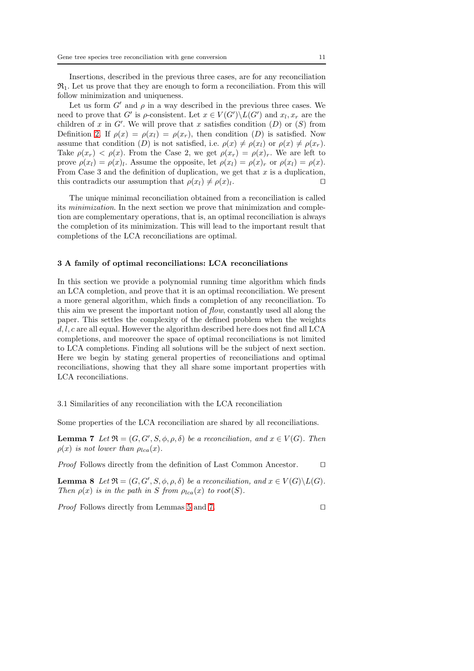Insertions, described in the previous three cases, are for any reconciliation  $\mathfrak{R}_1$ . Let us prove that they are enough to form a reconciliation. From this will follow minimization and uniqueness.

Let us form  $G'$  and  $\rho$  in a way described in the previous three cases. We need to prove that G' is  $\rho$ -consistent. Let  $x \in V(G') \backslash L(G')$  and  $x_l, x_r$  are the children of x in  $G'$ . We will prove that x satisfies condition  $(D)$  or  $(S)$  from Definition [2.](#page-5-0) If  $\rho(x) = \rho(x_i) = \rho(x_i)$ , then condition (D) is satisfied. Now assume that condition (D) is not satisfied, i.e.  $\rho(x) \neq \rho(x_l)$  or  $\rho(x) \neq \rho(x_r)$ . Take  $\rho(x_r) < \rho(x)$ . From the Case 2, we get  $\rho(x_r) = \rho(x)_r$ . We are left to prove  $\rho(x_l) = \rho(x_l)$ . Assume the opposite, let  $\rho(x_l) = \rho(x_r)$  or  $\rho(x_l) = \rho(x)$ . From Case 3 and the definition of duplication, we get that  $x$  is a duplication, this contradicts our assumption that  $\rho(x_l) \neq \rho(x_l)$ . . ⊓⊔

The unique minimal reconciliation obtained from a reconciliation is called its minimization. In the next section we prove that minimization and completion are complementary operations, that is, an optimal reconciliation is always the completion of its minimization. This will lead to the important result that completions of the LCA reconciliations are optimal.

#### <span id="page-10-0"></span>3 A family of optimal reconciliations: LCA reconciliations

In this section we provide a polynomial running time algorithm which finds an LCA completion, and prove that it is an optimal reconciliation. We present a more general algorithm, which finds a completion of any reconciliation. To this aim we present the important notion of flow, constantly used all along the paper. This settles the complexity of the defined problem when the weights  $d, l, c$  are all equal. However the algorithm described here does not find all LCA completions, and moreover the space of optimal reconciliations is not limited to LCA completions. Finding all solutions will be the subject of next section. Here we begin by stating general properties of reconciliations and optimal reconciliations, showing that they all share some important properties with LCA reconciliations.

## 3.1 Similarities of any reconciliation with the LCA reconciliation

<span id="page-10-1"></span>Some properties of the LCA reconciliation are shared by all reconciliations.

**Lemma 7** Let  $\mathfrak{R} = (G, G', S, \phi, \rho, \delta)$  be a reconciliation, and  $x \in V(G)$ . Then  $\rho(x)$  is not lower than  $\rho_{lca}(x)$ .

*Proof* Follows directly from the definition of Last Common Ancestor. □

<span id="page-10-2"></span>**Lemma 8** Let  $\mathfrak{R} = (G, G', S, \phi, \rho, \delta)$  be a reconciliation, and  $x \in V(G) \setminus L(G)$ . Then  $\rho(x)$  is in the path in S from  $\rho_{lca}(x)$  to root(S).

Proof Follows directly from Lemmas [5](#page-8-0) and [7.](#page-10-1) □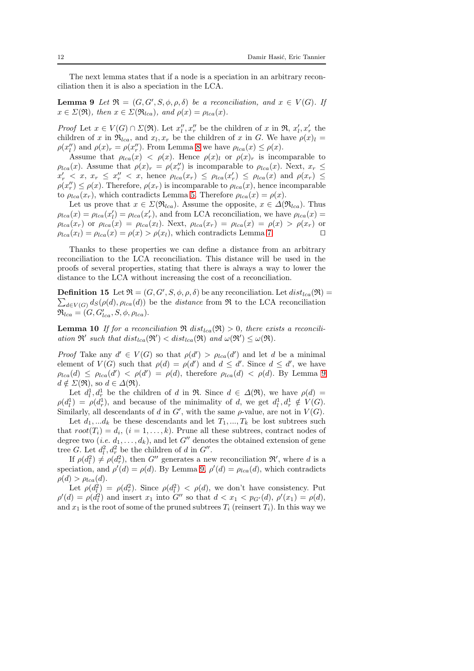<span id="page-11-0"></span>The next lemma states that if a node is a speciation in an arbitrary reconciliation then it is also a speciation in the LCA.

**Lemma 9** Let  $\mathfrak{R} = (G, G', S, \phi, \rho, \delta)$  be a reconciliation, and  $x \in V(G)$ . If  $x \in \Sigma(\mathfrak{R})$ , then  $x \in \Sigma(\mathfrak{R}_{lca})$ , and  $\rho(x) = \rho_{lca}(x)$ .

*Proof* Let  $x \in V(G) \cap \Sigma(\mathfrak{R})$ . Let  $x''_l, x''_r$  be the children of x in  $\mathfrak{R}, x'_l, x'_r$  the children of x in  $\Re_{lca}$ , and  $x_l, x_r$  be the children of x in G. We have  $\rho(x)_l =$  $\rho(x''_l)$  and  $\rho(x)_r = \rho(x''_r)$ . From Lemma [8](#page-10-2) we have  $\rho_{lca}(x) \leq \rho(x)$ .

Assume that  $\rho_{lca}(x) < \rho(x)$ . Hence  $\rho(x)_l$  or  $\rho(x)_r$  is incomparable to  $\rho_{lca}(x)$ . Assume that  $\rho(x)_r = \rho(x_r'')$  is incomparable to  $\rho_{lca}(x)$ . Next,  $x_r \leq$  $x'_r$   $\langle x, x_r \leq x''_r \langle x, \text{ hence } \rho_{lca}(x_r) \leq \rho_{lca}(x'_r) \leq \rho_{lca}(x) \text{ and } \rho(x_r) \leq$  $\rho(x''_r) \leq \rho(x)$ . Therefore,  $\rho(x_r)$  is incomparable to  $\rho_{lca}(x)$ , hence incomparable to  $\rho_{lca}(x_r)$ , which contradicts Lemma [5.](#page-8-0) Therefore  $\rho_{lca}(x) = \rho(x)$ .

Let us prove that  $x \in \Sigma(\mathfrak{R}_{lca})$ . Assume the opposite,  $x \in \Delta(\mathfrak{R}_{lca})$ . Thus  $\rho_{lca}(x) = \rho_{lca}(x'_l) = \rho_{lca}(x'_r)$ , and from LCA reconciliation, we have  $\rho_{lca}(x) =$  $\rho_{lca}(x_r)$  or  $\rho_{lca}(x) = \rho_{lca}(x_l)$ . Next,  $\rho_{lca}(x_r) = \rho_{lca}(x) = \rho(x) > \rho(x_r)$  or  $\rho_{lca}(x_l) = \rho_{lca}(x) = \rho(x) > \rho(x_l)$ , which contradicts Lemma [7.](#page-10-1) □

Thanks to these properties we can define a distance from an arbitrary reconciliation to the LCA reconciliation. This distance will be used in the proofs of several properties, stating that there is always a way to lower the distance to the LCA without increasing the cost of a reconciliation.

**Definition 15** Let  $\mathfrak{R} = (G, G', S, \phi, \rho, \delta)$  be any reconciliation. Let  $dist_{lca}(\mathfrak{R}) =$  $\sum_{d \in V(G)} d_S(\rho(d), \rho_{lca}(d))$  be the *distance* from  $\Re$  to the LCA reconciliation  $\mathfrak{R}_{lca} = (G, G'_{lca}, S, \phi, \rho_{lca}).$ 

<span id="page-11-1"></span>**Lemma 10** If for a reconciliation  $\Re$  dist<sub>lca</sub> $(\Re) > 0$ , there exists a reconciliation  $\mathfrak{R}'$  such that  $dist_{lca}(\mathfrak{R}') < dist_{lca}(\mathfrak{R})$  and  $\omega(\mathfrak{R}') \leq \omega(\mathfrak{R})$ .

Proof Take any  $d' \in V(G)$  so that  $\rho(d') > \rho_{lca}(d')$  and let d be a minimal element of  $V(G)$  such that  $\rho(d) = \rho(d')$  and  $d \leq d'$ . Since  $d \leq d'$ , we have  $\rho_{lca}(d) \leq \rho_{lca}(d') < \rho(d') = \rho(d)$ , therefore  $\rho_{lca}(d) < \rho(d)$ . By Lemma [9](#page-11-0)  $d \notin \Sigma(\mathfrak{R}),$  so  $d \in \Delta(\mathfrak{R}).$ 

Let  $d_l^1, d_r^1$  be the children of d in R. Since  $d \in \Delta(\mathfrak{R})$ , we have  $\rho(d)$  =  $\rho(d_l^1) = \rho(d_r^1)$ , and because of the minimality of d, we get  $d_l^1, d_r^1 \notin V(G)$ . Similarly, all descendants of d in  $G'$ , with the same  $\rho$ -value, are not in  $V(G)$ .

Let  $d_1, \ldots, d_k$  be these descendants and let  $T_1, \ldots, T_k$  be lost subtrees such that  $root(T_i) = d_i$ ,  $(i = 1, ..., k)$ . Prune all these subtrees, contract nodes of degree two (*i.e.*  $d_1, \ldots, d_k$ ), and let G'' denotes the obtained extension of gene tree G. Let  $d_l^2, d_r^2$  be the children of d in  $G''$ .

If  $\rho(d_i^2) \neq \rho(d_r^2)$ , then G'' generates a new reconciliation  $\mathfrak{R}'$ , where d is a speciation, and  $\rho'(d) = \rho(d)$ . By Lemma [9,](#page-11-0)  $\rho'(d) = \rho_{lca}(d)$ , which contradicts  $\rho(d) > \rho_{lca}(d)$ .

Let  $\rho(d_l^2) = \rho(d_r^2)$ . Since  $\rho(d_l^2) < \rho(d)$ , we don't have consistency. Put  $\rho'(d) = \rho(d_l^2)$  and insert  $x_1$  into  $G''$  so that  $d < x_1 < p_{G'}(d)$ ,  $\rho'(x_1) = \rho(d)$ , and  $x_1$  is the root of some of the pruned subtrees  $T_i$  (reinsert  $T_i$ ). In this way we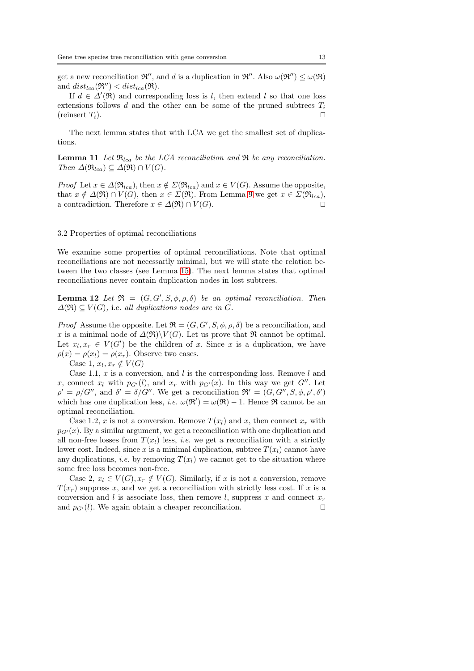get a new reconciliation  $\mathfrak{R}''$ , and d is a duplication in  $\mathfrak{R}''$ . Also  $\omega(\mathfrak{R}'') \leq \omega(\mathfrak{R})$ and  $dist_{lca}(\mathfrak{R}^{\prime\prime}) < dist_{lca}(\mathfrak{R})$ .

If  $d \in \Delta'(\mathfrak{R})$  and corresponding loss is l, then extend l so that one loss extensions follows d and the other can be some of the pruned subtrees  $T_i$ (reinsert  $T_i$ ). □

<span id="page-12-1"></span>The next lemma states that with LCA we get the smallest set of duplications.

**Lemma 11** Let  $\mathfrak{R}_{lca}$  be the LCA reconciliation and  $\mathfrak{R}$  be any reconciliation. Then  $\Delta(\mathfrak{R}_{lca}) \subseteq \Delta(\mathfrak{R}) \cap V(G)$ .

*Proof* Let  $x \in \Delta(\mathfrak{R}_{lca})$ , then  $x \notin \Sigma(\mathfrak{R}_{lca})$  and  $x \in V(G)$ . Assume the opposite, that  $x \notin \Delta(\mathfrak{R}) \cap V(G)$ , then  $x \in \Sigma(\mathfrak{R})$ . From Lemma [9](#page-11-0) we get  $x \in \Sigma(\mathfrak{R}_{lca})$ , a contradiction. Therefore  $x \in \Delta(\mathfrak{R}) \cap V(G)$ .

## 3.2 Properties of optimal reconciliations

We examine some properties of optimal reconciliations. Note that optimal reconciliations are not necessarily minimal, but we will state the relation between the two classes (see Lemma [15\)](#page-13-0). The next lemma states that optimal reconciliations never contain duplication nodes in lost subtrees.

<span id="page-12-0"></span>**Lemma 12** Let  $\Re = (G, G', S, \phi, \rho, \delta)$  be an optimal reconciliation. Then  $\Delta(\mathfrak{R}) \subset V(G)$ , i.e. all duplications nodes are in G.

*Proof* Assume the opposite. Let  $\mathfrak{R} = (G, G', S, \phi, \rho, \delta)$  be a reconciliation, and x is a minimal node of  $\Delta(\mathfrak{R})\backslash V(G)$ . Let us prove that  $\mathfrak{R}$  cannot be optimal. Let  $x_l, x_r \in V(G')$  be the children of x. Since x is a duplication, we have  $\rho(x) = \rho(x_l) = \rho(x_r)$ . Observe two cases.

Case 1,  $x_l, x_r \notin V(G)$ 

Case 1.1, x is a conversion, and l is the corresponding loss. Remove l and x, connect  $x_l$  with  $p_{G'}(l)$ , and  $x_r$  with  $p_{G'}(x)$ . In this way we get  $G''$ . Let  $\rho' = \rho/G''$ , and  $\delta' = \delta/G''$ . We get a reconciliation  $\mathfrak{R}' = (G, G'', S, \phi, \rho', \delta')$ which has one duplication less, *i.e.*  $\omega(\mathfrak{R}') = \omega(\mathfrak{R}) - 1$ . Hence  $\mathfrak{R}$  cannot be an optimal reconciliation.

Case 1.2, x is not a conversion. Remove  $T(x_l)$  and x, then connect  $x_r$  with  $p_{G'}(x)$ . By a similar argument, we get a reconciliation with one duplication and all non-free losses from  $T(x_l)$  less, *i.e.* we get a reconciliation with a strictly lower cost. Indeed, since x is a minimal duplication, subtree  $T(x_i)$  cannot have any duplications, *i.e.* by removing  $T(x_l)$  we cannot get to the situation where some free loss becomes non-free.

Case 2,  $x_l \in V(G), x_r \notin V(G)$ . Similarly, if x is not a conversion, remove  $T(x_r)$  suppress x, and we get a reconciliation with strictly less cost. If x is a conversion and l is associate loss, then remove l, suppress x and connect  $x_r$ and  $p_{G'}(l)$ . We again obtain a cheaper reconciliation. □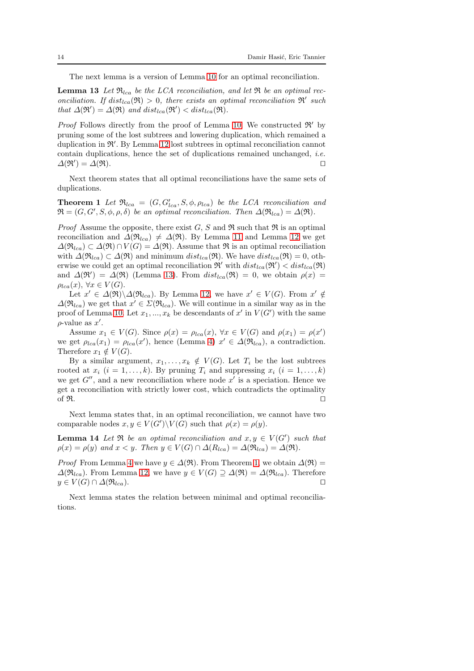<span id="page-13-1"></span>The next lemma is a version of Lemma [10](#page-11-1) for an optimal reconciliation.

**Lemma 13** Let  $\mathfrak{R}_{lca}$  be the LCA reconciliation, and let  $\mathfrak{R}$  be an optimal reconciliation. If  $dist_{lca}(\mathfrak{R}) > 0$ , there exists an optimal reconciliation  $\mathfrak{R}'$  such that  $\Delta(\mathfrak{R}') = \Delta(\mathfrak{R})$  and  $dist_{lca}(\mathfrak{R}') < dist_{lca}(\mathfrak{R})$ .

*Proof* Follows directly from the proof of Lemma [10.](#page-11-1) We constructed  $\mathfrak{R}'$  by pruning some of the lost subtrees and lowering duplication, which remained a duplication in  $\mathfrak{R}'$ . By Lemma [12](#page-12-0) lost subtrees in optimal reconciliation cannot contain duplications, hence the set of duplications remained unchanged, i.e.  $\Delta(\mathfrak{R}') = \Delta(\mathfrak{R}).$ 

<span id="page-13-2"></span>Next theorem states that all optimal reconciliations have the same sets of duplications.

**Theorem 1** Let  $\Re_{lca} = (G, G'_{lca}, S, \phi, \rho_{lca})$  be the LCA reconciliation and  $\mathfrak{R} = (G, G', S, \phi, \rho, \delta)$  be an optimal reconciliation. Then  $\Delta(\mathfrak{R}_{lca}) = \Delta(\mathfrak{R})$ .

*Proof* Assume the opposite, there exist G, S and  $\Re$  such that  $\Re$  is an optimal reconciliation and  $\Delta(\mathfrak{R}_{lca}) \neq \Delta(\mathfrak{R})$ . By Lemma [11](#page-12-1) and Lemma [12](#page-12-0) we get  $\Delta(\mathfrak{R}_{lca}) \subset \Delta(\mathfrak{R}) \cap V(G) = \Delta(\mathfrak{R})$ . Assume that  $\mathfrak{R}$  is an optimal reconciliation with  $\Delta(\mathfrak{R}_{lca}) \subset \Delta(\mathfrak{R})$  and minimum  $dist_{lca}(\mathfrak{R})$ . We have  $dist_{lca}(\mathfrak{R}) = 0$ , otherwise we could get an optimal reconciliation  $\mathfrak{R}'$  with  $dist_{lca}(\mathfrak{R}') < dist_{lca}(\mathfrak{R})$ and  $\Delta(\mathfrak{R}') = \Delta(\mathfrak{R})$  (Lemma [13\)](#page-13-1). From  $dist_{lca}(\mathfrak{R}) = 0$ , we obtain  $\rho(x) =$  $\rho_{lca}(x), \,\forall x \in V(G).$ 

Let  $x' \in \Delta(\mathfrak{R}) \backslash \Delta(\mathfrak{R}_{lca})$ . By Lemma [12,](#page-12-0) we have  $x' \in V(G)$ . From  $x' \notin$  $\Delta(\mathfrak{R}_{lca})$  we get that  $x' \in \Sigma(\mathfrak{R}_{lca})$ . We will continue in a similar way as in the proof of Lemma [10.](#page-11-1) Let  $x_1, ..., x_k$  be descendants of  $x'$  in  $V(G')$  with the same  $\rho$ -value as  $x'$ .

Assume  $x_1 \in V(G)$ . Since  $\rho(x) = \rho_{lca}(x), \forall x \in V(G)$  and  $\rho(x_1) = \rho(x')$ we get  $\rho_{lca}(x_1) = \rho_{lca}(x')$ , hence (Lemma [4\)](#page-8-1)  $x' \in \Delta(\mathfrak{R}_{lca})$ , a contradiction. Therefore  $x_1 \notin V(G)$ .

By a similar argument,  $x_1, \ldots, x_k \notin V(G)$ . Let  $T_i$  be the lost subtrees rooted at  $x_i$   $(i = 1, ..., k)$ . By pruning  $T_i$  and suppressing  $x_i$   $(i = 1, ..., k)$ we get  $G''$ , and a new reconciliation where node  $x'$  is a speciation. Hence we get a reconciliation with strictly lower cost, which contradicts the optimality of  $\Re$ . □

Next lemma states that, in an optimal reconciliation, we cannot have two comparable nodes  $x, y \in V(G') \backslash V(G)$  such that  $\rho(x) = \rho(y)$ .

**Lemma 14** Let  $\Re$  be an optimal reconciliation and  $x, y \in V(G')$  such that  $\rho(x) = \rho(y)$  and  $x < y$ . Then  $y \in V(G) \cap \Delta(R_{lca}) = \Delta(\mathfrak{R}_{lca}) = \Delta(\mathfrak{R}).$ 

*Proof* From Lemma [4](#page-8-1) we have  $y \in \Delta(\mathfrak{R})$ . From Theorem [1,](#page-13-2) we obtain  $\Delta(\mathfrak{R}) =$  $\Delta(\mathfrak{R}_{lca})$ . From Lemma [12,](#page-12-0) we have  $y \in V(G) \supseteq \Delta(\mathfrak{R}) = \Delta(\mathfrak{R}_{lca})$ . Therefore  $y \in V(G) \cap \Delta(\mathfrak{R}_{lca}).$ 

<span id="page-13-0"></span>Next lemma states the relation between minimal and optimal reconciliations.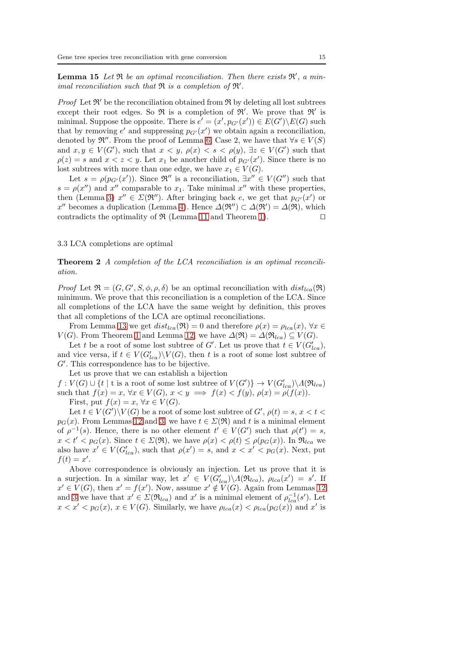**Lemma 15** Let  $\Re$  be an optimal reconciliation. Then there exists  $\Re'$ , a minimal reconciliation such that  $\Re$  is a completion of  $\Re'$ .

*Proof* Let  $\mathfrak{R}'$  be the reconciliation obtained from  $\mathfrak{R}$  by deleting all lost subtrees except their root edges. So  $\Re$  is a completion of  $\Re'$ . We prove that  $\Re'$  is minimal. Suppose the opposite. There is  $e' = (x', p_{G'}(x')) \in E(G') \backslash E(G)$  such that by removing  $e'$  and suppressing  $p_{G'}(x')$  we obtain again a reconciliation, denoted by  $\mathfrak{R}''$ . From the proof of Lemma [6,](#page-9-0) Case 2, we have that  $\forall s \in V(S)$ and  $x, y \in V(G')$ , such that  $x < y$ ,  $\rho(x) < s < \rho(y)$ ,  $\exists z \in V(G')$  such that  $\rho(z) = s$  and  $x < z < y$ . Let  $x_1$  be another child of  $p_{G'}(x')$ . Since there is no lost subtrees with more than one edge, we have  $x_1 \in V(G)$ .

Let  $s = \rho(p_{G'}(x'))$ . Since  $\mathfrak{R}''$  is a reconciliation,  $\exists x'' \in V(G'')$  such that  $s = \rho(x'')$  and x'' comparable to  $x_1$ . Take minimal x'' with these properties, then (Lemma [3\)](#page-7-0)  $x'' \in \Sigma(\mathfrak{R}^{\prime\prime})$ . After bringing back e, we get that  $p_{G'}(x')$  or x'' becomes a duplication (Lemma [4\)](#page-8-1). Hence  $\Delta(\mathfrak{R}'') \subset \Delta(\mathfrak{R}') = \Delta(\mathfrak{R})$ , which contradicts the optimality of  $\Re$  (Lemma [11](#page-12-1) and Theorem [1\)](#page-13-2). □

## <span id="page-14-0"></span>3.3 LCA completions are optimal

Theorem 2 A completion of the LCA reconciliation is an optimal reconciliation.

Proof Let  $\mathfrak{R} = (G, G', S, \phi, \rho, \delta)$  be an optimal reconciliation with  $dist_{lca}(\mathfrak{R})$ minimum. We prove that this reconciliation is a completion of the LCA. Since all completions of the LCA have the same weight by definition, this proves that all completions of the LCA are optimal reconciliations.

From Lemma [13](#page-13-1) we get  $dist_{lca}(\mathfrak{R}) = 0$  and therefore  $\rho(x) = \rho_{lca}(x), \forall x \in$  $V(G)$ . From Theorem [1](#page-13-2) and Lemma [12,](#page-12-0) we have  $\Delta(\mathfrak{R}) = \Delta(\mathfrak{R}_{lca}) \subseteq V(G)$ .

Let t be a root of some lost subtree of G'. Let us prove that  $t \in V(G'_{lca})$ , and vice versa, if  $t \in V(G'_{lca}) \backslash V(G)$ , then t is a root of some lost subtree of G′ . This correspondence has to be bijective.

Let us prove that we can establish a bijection

 $f: V(G) \cup \{t \mid t \text{ is a root of some lost subtree of } V(G')\} \rightarrow V(G'_{lca}) \backslash A(\mathfrak{R}_{lca})$ such that  $f(x) = x$ ,  $\forall x \in V(G)$ ,  $x < y \implies f(x) < f(y)$ ,  $\rho(x) = \rho(f(x))$ . First, put  $f(x) = x, \forall x \in V(G)$ .

Let  $t \in V(G')\backslash V(G)$  be a root of some lost subtree of  $G'$ ,  $\rho(t) = s$ ,  $x < t <$  $p_G(x)$ . From Lemmas [12](#page-12-0) and [3,](#page-7-0) we have  $t \in \Sigma(\mathfrak{R})$  and t is a minimal element of  $\rho^{-1}(s)$ . Hence, there is no other element  $t' \in V(G')$  such that  $\rho(t') = s$ ,  $x < t' < p_G(x)$ . Since  $t \in \Sigma(\mathfrak{R})$ , we have  $\rho(x) < \rho(t) \leq \rho(p_G(x))$ . In  $\mathfrak{R}_{lca}$  we also have  $x' \in V(G'_{lca})$ , such that  $\rho(x') = s$ , and  $x < x' < p_G(x)$ . Next, put  $f(t) = x'.$ 

Above correspondence is obviously an injection. Let us prove that it is a surjection. In a similar way, let  $x' \in V(G'_{lca}) \backslash A(\mathfrak{R}_{lca})$ ,  $\rho_{lca}(x') = s'$ . If  $x' \in V(G)$ , then  $x' = f(x')$ . Now, assume  $x' \notin V(G)$ . Again from Lemmas [12](#page-12-0) and [3](#page-7-0) we have that  $x' \in \Sigma(\mathfrak{R}_{lca})$  and  $x'$  is a minimal element of  $\rho_{lca}^{-1}(s')$ . Let  $x < x' < p_G(x)$ ,  $x \in V(G)$ . Similarly, we have  $\rho_{lca}(x) < \rho_{lca}(p_G(x))$  and  $x'$  is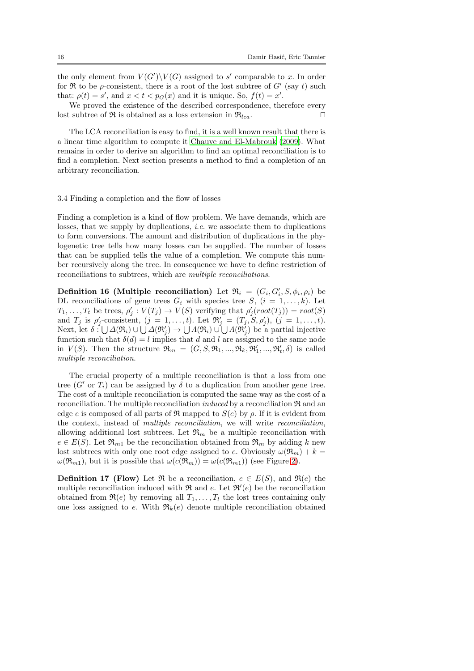the only element from  $V(G')\backslash V(G)$  assigned to s' comparable to x. In order for  $\Re$  to be  $\rho$ -consistent, there is a root of the lost subtree of  $G'$  (say t) such that:  $\rho(t) = s'$ , and  $x < t < p_G(x)$  and it is unique. So,  $f(t) = x'$ .

We proved the existence of the described correspondence, therefore every lost subtree of  $\Re$  is obtained as a loss extension in  $\Re_{lca}$ . □

The LCA reconciliation is easy to find, it is a well known result that there is a linear time algorithm to compute it [Chauve and El-Mabrouk \(2009](#page-35-8)). What remains in order to derive an algorithm to find an optimal reconciliation is to find a completion. Next section presents a method to find a completion of an arbitrary reconciliation.

## <span id="page-15-0"></span>3.4 Finding a completion and the flow of losses

Finding a completion is a kind of flow problem. We have demands, which are losses, that we supply by duplications, *i.e.* we associate them to duplications to form conversions. The amount and distribution of duplications in the phylogenetic tree tells how many losses can be supplied. The number of losses that can be supplied tells the value of a completion. We compute this number recursively along the tree. In consequence we have to define restriction of reconciliations to subtrees, which are multiple reconciliations.

**Definition 16 (Multiple reconciliation)** Let  $\mathfrak{R}_i = (G_i, G'_i, S, \phi_i, \rho_i)$  be DL reconciliations of gene trees  $G_i$  with species tree  $S, (i = 1, \ldots, k)$ . Let  $T_1, \ldots, T_t$  be trees,  $\rho'_j : V(T_j) \to V(S)$  verifying that  $\rho'_j(root(T_j)) = root(S)$ and  $T_j$  is  $\rho'_j$ -consistent,  $(j = 1, \ldots, t)$ . Let  $\mathfrak{R}'_j = (T_j, S, \rho'_j)$ ,  $(j = 1, \ldots, t)$ . Next, let  $\delta : \bigcup \Delta(\mathfrak{R}_i) \cup \bigcup \Delta(\mathfrak{R}'_j) \rightarrow \bigcup \Lambda(\mathfrak{R}_i) \cup \bigcup \Lambda(\mathfrak{R}'_j)$  be a partial injective function such that  $\delta(d) = l$  implies that d and l are assigned to the same node in  $V(S)$ . Then the structure  $\mathfrak{R}_m = (G, S, \mathfrak{R}_1, ..., \mathfrak{R}_k, \mathfrak{R}'_1, ..., \mathfrak{R}'_t, \delta)$  is called multiple reconciliation.

The crucial property of a multiple reconciliation is that a loss from one tree (G' or  $T_i$ ) can be assigned by  $\delta$  to a duplication from another gene tree. The cost of a multiple reconciliation is computed the same way as the cost of a reconciliation. The multiple reconciliation *induced* by a reconciliation  $\Re$  and an edge e is composed of all parts of  $\Re$  mapped to  $S(e)$  by  $\rho$ . If it is evident from the context, instead of multiple reconciliation, we will write reconciliation, allowing additional lost subtrees. Let  $\mathfrak{R}_m$  be a multiple reconciliation with  $e \in E(S)$ . Let  $\mathfrak{R}_{m1}$  be the reconciliation obtained from  $\mathfrak{R}_m$  by adding k new lost subtrees with only one root edge assigned to e. Obviously  $\omega(\mathfrak{R}_m) + k =$  $\omega(\mathfrak{R}_{m1}),$  but it is possible that  $\omega(c(\mathfrak{R}_{m})) = \omega(c(\mathfrak{R}_{m1}))$  (see Figure [2\)](#page-16-0).

**Definition 17 (Flow)** Let  $\Re$  be a reconciliation,  $e \in E(S)$ , and  $\Re(e)$  the multiple reconciliation induced with  $\Re$  and e. Let  $\Re'(e)$  be the reconciliation obtained from  $\Re(e)$  by removing all  $T_1, \ldots, T_l$  the lost trees containing only one loss assigned to e. With  $\mathfrak{R}_k(e)$  denote multiple reconciliation obtained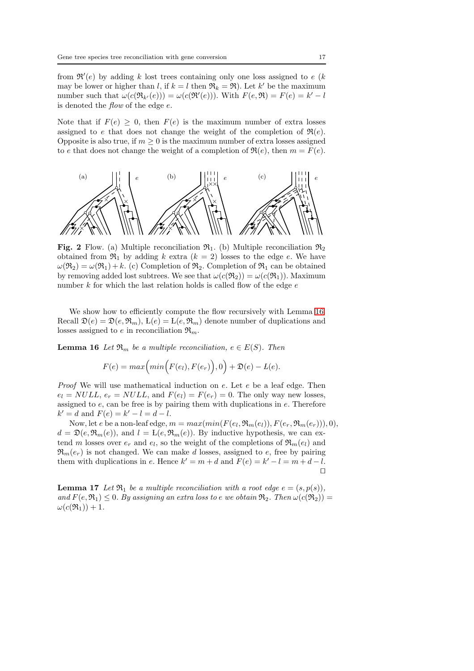from  $\mathfrak{R}'(e)$  by adding k lost trees containing only one loss assigned to e (k may be lower or higher than l, if  $k = l$  then  $\Re_k = \Re$ ). Let k' be the maximum number such that  $\omega(c(\mathfrak{R}_{k'}(e))) = \omega(c(\mathfrak{R}'(e)))$ . With  $F(e, \mathfrak{R}) = F(e) = k' - l$ is denoted the  $flow$  of the edge  $e$ .

Note that if  $F(e) \geq 0$ , then  $F(e)$  is the maximum number of extra losses assigned to e that does not change the weight of the completion of  $\Re(e)$ . Opposite is also true, if  $m \geq 0$  is the maximum number of extra losses assigned to e that does not change the weight of a completion of  $\Re(e)$ , then  $m = F(e)$ .

<span id="page-16-0"></span>

Fig. 2 Flow. (a) Multiple reconciliation  $\mathfrak{R}_1$ . (b) Multiple reconciliation  $\mathfrak{R}_2$ obtained from  $\mathfrak{R}_1$  by adding k extra  $(k = 2)$  losses to the edge e. We have  $\omega(\mathfrak{R}_2) = \omega(\mathfrak{R}_1) + k$ . (c) Completion of  $\mathfrak{R}_2$ . Completion of  $\mathfrak{R}_1$  can be obtained by removing added lost subtrees. We see that  $\omega(c(\mathfrak{R}_2)) = \omega(c(\mathfrak{R}_1))$ . Maximum number  $k$  for which the last relation holds is called flow of the edge  $e$ 

We show how to efficiently compute the flow recursively with Lemma [16.](#page-16-1) Recall  $\mathfrak{D}(e) = \mathfrak{D}(e, \mathfrak{R}_m)$ ,  $L(e) = L(e, \mathfrak{R}_m)$  denote number of duplications and losses assigned to e in reconciliation  $\mathfrak{R}_m$ .

<span id="page-16-1"></span>**Lemma 16** Let  $\mathfrak{R}_m$  be a multiple reconciliation,  $e \in E(S)$ . Then

$$
F(e) = max\Big(min\Big(F(e_l), F(e_r)\Big), 0\Big) + \mathfrak{D}(e) - L(e).
$$

Proof We will use mathematical induction on e. Let e be a leaf edge. Then  $e_l = NULL$ ,  $e_r = NULL$ , and  $F(e_l) = F(e_r) = 0$ . The only way new losses, assigned to  $e$ , can be free is by pairing them with duplications in  $e$ . Therefore  $k' = d$  and  $F(e) = k' - l = d - l$ .

Now, let e be a non-leaf edge,  $m = max(min(F(e_l, \mathfrak{R}_m(e_l)), F(e_r, \mathfrak{R}_m(e_r))), 0),$  $d = \mathfrak{D}(e, \mathfrak{R}_m(e)),$  and  $l = L(e, \mathfrak{R}_m(e)).$  By inductive hypothesis, we can extend m losses over  $e_r$  and  $e_l$ , so the weight of the completions of  $\mathfrak{R}_m(e_l)$  and  $\mathfrak{R}_m(e_r)$  is not changed. We can make d losses, assigned to e, free by pairing them with duplications in e. Hence  $k' = m + d$  and  $F(e) = k' - l = m + d - l$ . ⊓⊔

<span id="page-16-2"></span>**Lemma 17** Let  $\mathfrak{R}_1$  be a multiple reconciliation with a root edge  $e = (s, p(s)),$ and  $F(e, \mathfrak{R}_1) \leq 0$ . By assigning an extra loss to e we obtain  $\mathfrak{R}_2$ . Then  $\omega(c(\mathfrak{R}_2)) =$  $\omega(c(\mathfrak{R}_1))+1.$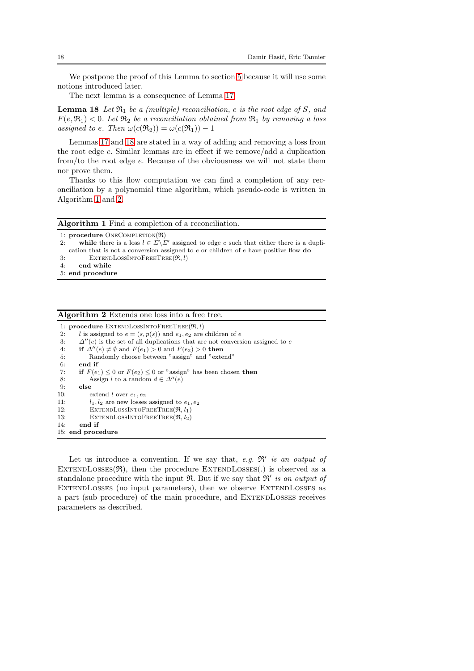We postpone the proof of this Lemma to section [5](#page-29-0) because it will use some notions introduced later.

<span id="page-17-0"></span>The next lemma is a consequence of Lemma [17.](#page-16-2)

**Lemma 18** Let  $\mathfrak{R}_1$  be a (multiple) reconciliation, e is the root edge of S, and  $F(e, \mathfrak{R}_1) < 0$ . Let  $\mathfrak{R}_2$  be a reconciliation obtained from  $\mathfrak{R}_1$  by removing a loss assigned to e. Then  $\omega(c(\mathfrak{R}_2)) = \omega(c(\mathfrak{R}_1)) - 1$ 

Lemmas [17](#page-16-2) and [18](#page-17-0) are stated in a way of adding and removing a loss from the root edge e. Similar lemmas are in effect if we remove/add a duplication from/to the root edge e. Because of the obviousness we will not state them nor prove them.

Thanks to this flow computation we can find a completion of any reconciliation by a polynomial time algorithm, which pseudo-code is written in Algorithm [1](#page-17-1) and [2.](#page-17-2)

<span id="page-17-1"></span>

|    | 1: procedure $ONECOMPLEITION(\mathfrak{R})$                                                                   |
|----|---------------------------------------------------------------------------------------------------------------|
| 2: | while there is a loss $l \in \Sigma \backslash \Sigma'$ assigned to edge e such that either there is a dupli- |
|    | cation that is not a conversion assigned to $e$ or children of $e$ have positive flow <b>do</b>               |
| 3: | $EXTENDLossINTOFREETREE(\mathfrak{R}, l)$                                                                     |

- 
- 4: end while 5: end procedure

#### <span id="page-17-2"></span>Algorithm 2 Extends one loss into a free tree.

```
1: procedure EXTENDLOSSINTOFREETREE(\Re, l)2: l is assigned to e = (s, p(s)) and e_1, e_2 are children of e
 3: \Delta''(e) is the set of all duplications that are not conversion assigned to e<br>4: if \Delta''(e) \neq \emptyset and F(e_1) > 0 and F(e_2) > 0 then
        if \Delta''(e) \neq \emptyset and F(e_1) > 0 and F(e_2) > 0 then
 5: Randomly choose between "assign" and "extend"
 6: end if
 7: if F(e_1) \leq 0 or F(e_2) \leq 0 or "assign" has been chosen then
 8: Assign l to a random d \in \Delta''(e)<br>9: else
        else
10: extend l over e_1, e_211: l_1, l_2 are new losses assigned to e_1, e_2<br>12: EXTENDLOSSINTOFREETREE(\Re, l_1)
            EXTENDLossINTOFREETree(\mathfrak{R}, l_1)13: EXTENDLOSSINTOFREETREE(\Re, l_2)14: end if
15: end procedure
```
<span id="page-17-3"></span>Let us introduce a convention. If we say that, e.g.  $\mathfrak{R}'$  is an output of EXTENDLOSSES $(\Re)$ , then the procedure EXTENDLOSSES(.) is observed as a standalone procedure with the input  $\mathfrak{R}$ . But if we say that  $\mathfrak{R}'$  is an output of ExtendLosses (no input parameters), then we observe ExtendLosses as a part (sub procedure) of the main procedure, and ExtendLosses receives parameters as described.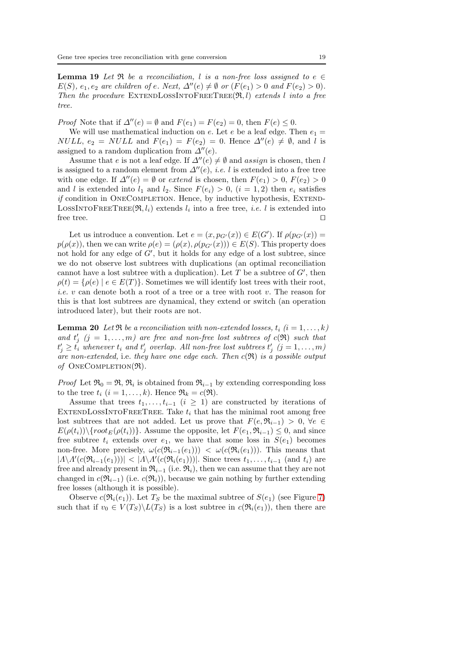**Lemma 19** Let  $\Re$  be a reconciliation, l is a non-free loss assigned to e  $\in$  $E(S)$ ,  $e_1, e_2$  are children of e. Next,  $\Delta''(e) \neq \emptyset$  or  $(F(e_1) > 0$  and  $F(e_2) > 0)$ . Then the procedure EXTENDLOSSINTOFREETREE $(\mathfrak{R}, l)$  extends l into a free tree.

*Proof* Note that if  $\Delta''(e) = \emptyset$  and  $F(e_1) = F(e_2) = 0$ , then  $F(e) \leq 0$ .

We will use mathematical induction on e. Let e be a leaf edge. Then  $e_1 =$ *NULL*,  $e_2 = NULL$  and  $F(e_1) = F(e_2) = 0$ . Hence  $\Delta''(e) \neq \emptyset$ , and l is assigned to a random duplication from  $\Delta''(e)$ .

Assume that e is not a leaf edge. If  $\Delta''(e) \neq \emptyset$  and assign is chosen, then l is assigned to a random element from  $\Delta''(e)$ , *i.e.* l is extended into a free tree with one edge. If  $\Delta''(e) = \emptyset$  or extend is chosen, then  $F(e_1) > 0$ ,  $F(e_2) > 0$ and l is extended into  $l_1$  and  $l_2$ . Since  $F(e_i) > 0$ ,  $(i = 1, 2)$  then  $e_i$  satisfies if condition in OneCompletion. Hence, by inductive hypothesis, Extend-LOSSINTOFREETREE( $\Re$ ,  $l_i$ ) extends  $l_i$  into a free tree, *i.e.* l is extended into free tree. ⊓⊔

Let us introduce a convention. Let  $e = (x, p_{G'}(x)) \in E(G')$ . If  $\rho(p_{G'}(x)) =$  $p(\rho(x))$ , then we can write  $\rho(e) = (\rho(x), \rho(p_{G'}(x))) \in E(S)$ . This property does not hold for any edge of  $G'$ , but it holds for any edge of a lost subtree, since we do not observe lost subtrees with duplications (an optimal reconciliation cannot have a lost subtree with a duplication). Let  $T$  be a subtree of  $G'$ , then  $\rho(t) = {\rho(e) | e \in E(T)}$ . Sometimes we will identify lost trees with their root, i.e. v can denote both a root of a tree or a tree with root v. The reason for this is that lost subtrees are dynamical, they extend or switch (an operation introduced later), but their roots are not.

<span id="page-18-0"></span>**Lemma 20** Let  $\Re$  be a reconciliation with non-extended losses,  $t_i$  ( $i = 1, ..., k$ ) and  $t'_{j}$   $(j = 1, ..., m)$  are free and non-free lost subtrees of  $c(\Re)$  such that  $t'_j \geq t'_i$  whenever  $t_i$  and  $t'_j$  overlap. All non-free lost subtrees  $t'_j$   $(j = 1, \ldots, m)$ are non-extended, i.e. they have one edge each. Then  $c(\mathfrak{R})$  is a possible output of ONECOMPLETION $(\mathfrak{R})$ .

*Proof* Let  $\mathfrak{R}_0 = \mathfrak{R}, \mathfrak{R}_i$  is obtained from  $\mathfrak{R}_{i-1}$  by extending corresponding loss to the tree  $t_i$   $(i = 1, ..., k)$ . Hence  $\mathfrak{R}_k = c(\mathfrak{R})$ .

Assume that trees  $t_1, \ldots, t_{i-1}$  ( $i \geq 1$ ) are constructed by iterations of EXTENDLOSSINTOFREETREE. Take  $t_i$  that has the minimal root among free lost subtrees that are not added. Let us prove that  $F(e, \mathfrak{R}_{i-1}) > 0, \forall e \in$  $E(\rho(t_i))\setminus\{root_E(\rho(t_i))\}$ . Assume the opposite, let  $F(e_1, \mathfrak{R}_{i-1}) \leq 0$ , and since free subtree  $t_i$  extends over  $e_1$ , we have that some loss in  $S(e_1)$  becomes non-free. More precisely,  $\omega(c(\mathfrak{R}_{i-1}(e_1))) < \omega(c(\mathfrak{R}_{i}(e_1)))$ . This means that  $|A \setminus A'(c(\mathfrak{R}_{i-1}(e_1)))| < |A \setminus A'(c(\mathfrak{R}_{i}(e_1)))|$ . Since trees  $t_1, \ldots, t_{i-1}$  (and  $t_i$ ) are free and already present in  $\mathfrak{R}_{i-1}$  (i.e.  $\mathfrak{R}_i$ ), then we can assume that they are not changed in  $c(\mathfrak{R}_{i-1})$  (i.e.  $c(\mathfrak{R}_i)$ ), because we gain nothing by further extending free losses (although it is possible).

Observe  $c(\mathfrak{R}_i(e_1))$ . Let  $T_S$  be the maximal subtree of  $S(e_1)$  (see Figure [7\)](#page-31-0) such that if  $v_0 \in V(T_S) \backslash L(T_S)$  is a lost subtree in  $c(\mathfrak{R}_i(e_1))$ , then there are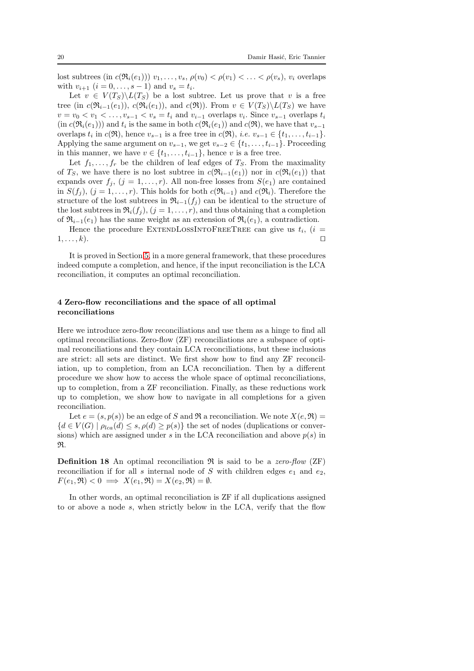lost subtrees (in  $c(\Re_i(e_1))$ )  $v_1, \ldots, v_s$ ,  $\rho(v_0) < \rho(v_1) < \ldots < \rho(v_s)$ ,  $v_i$  overlaps with  $v_{i+1}$   $(i = 0, \ldots, s-1)$  and  $v_s = t_i$ .

Let  $v \in V(T_S) \backslash L(T_S)$  be a lost subtree. Let us prove that v is a free tree (in  $c(\mathfrak{R}_{i-1}(e_1)), c(\mathfrak{R}_{i}(e_1)),$  and  $c(\mathfrak{R}))$ . From  $v \in V(T_S) \backslash L(T_S)$  we have  $v = v_0 < v_1 < \ldots, v_{s-1} < v_s = t_i$  and  $v_{i-1}$  overlaps  $v_i$ . Since  $v_{s-1}$  overlaps  $t_i$  $(in c(\mathfrak{R}_i(e_1)))$  and  $t_i$  is the same in both  $c(\mathfrak{R}_i(e_1))$  and  $c(\mathfrak{R})$ , we have that  $v_{s-1}$ overlaps  $t_i$  in  $c(\mathfrak{R})$ , hence  $v_{s-1}$  is a free tree in  $c(\mathfrak{R})$ , *i.e.*  $v_{s-1} \in \{t_1, \ldots, t_{i-1}\}.$ Applying the same argument on  $v_{s-1}$ , we get  $v_{s-2} \in \{t_1, \ldots, t_{i-1}\}$ . Proceeding in this manner, we have  $v \in \{t_1, \ldots, t_{i-1}\}$ , hence v is a free tree.

Let  $f_1, \ldots, f_r$  be the children of leaf edges of  $T_S$ . From the maximality of  $T_S$ , we have there is no lost subtree in  $c(\mathfrak{R}_{i-1}(e_1))$  nor in  $c(\mathfrak{R}_i(e_1))$  that expands over  $f_j$ ,  $(j = 1, ..., r)$ . All non-free losses from  $S(e_1)$  are contained in  $S(f_i)$ ,  $(j = 1, \ldots, r)$ . This holds for both  $c(\mathfrak{R}_{i-1})$  and  $c(\mathfrak{R}_i)$ . Therefore the structure of the lost subtrees in  $\mathfrak{R}_{i-1}(f_i)$  can be identical to the structure of the lost subtrees in  $\Re_i(f_j)$ ,  $(j = 1, \ldots, r)$ , and thus obtaining that a completion of  $\mathfrak{R}_{i-1}(e_1)$  has the same weight as an extension of  $\mathfrak{R}_i(e_1)$ , a contradiction.

Hence the procedure EXTENDLOSSINTOFREETREE can give us  $t_i$ ,  $(i =$  $1, \ldots, k$ ). □

It is proved in Section [5,](#page-29-0) in a more general framework, that these procedures indeed compute a completion, and hence, if the input reconciliation is the LCA reconciliation, it computes an optimal reconciliation.

## <span id="page-19-0"></span>4 Zero-flow reconciliations and the space of all optimal reconciliations

Here we introduce zero-flow reconciliations and use them as a hinge to find all optimal reconciliations. Zero-flow (ZF) reconciliations are a subspace of optimal reconciliations and they contain LCA reconciliations, but these inclusions are strict: all sets are distinct. We first show how to find any ZF reconciliation, up to completion, from an LCA reconciliation. Then by a different procedure we show how to access the whole space of optimal reconciliations, up to completion, from a ZF reconciliation. Finally, as these reductions work up to completion, we show how to navigate in all completions for a given reconciliation.

Let  $e = (s, p(s))$  be an edge of S and R a reconciliation. We note  $X(e, \mathfrak{R}) =$  ${d \in V(G) \mid \rho_{lca}(d) \leq s, \rho(d) \geq p(s)}$  the set of nodes (duplications or conversions) which are assigned under s in the LCA reconciliation and above  $p(s)$  in R.

**Definition 18** An optimal reconciliation  $\Re$  is said to be a zero-flow (ZF) reconciliation if for all s internal node of S with children edges  $e_1$  and  $e_2$ ,  $F(e_1, \mathfrak{R}) < 0 \implies X(e_1, \mathfrak{R}) = X(e_2, \mathfrak{R}) = \emptyset.$ 

In other words, an optimal reconciliation is ZF if all duplications assigned to or above a node s, when strictly below in the LCA, verify that the flow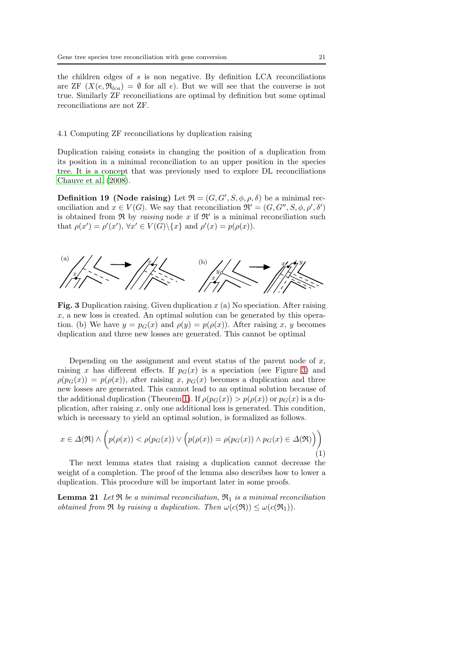the children edges of  $s$  is non negative. By definition LCA reconciliations are ZF  $(X(e, \mathfrak{R}_{lca}) = \emptyset$  for all e). But we will see that the converse is not true. Similarly ZF reconciliations are optimal by definition but some optimal reconciliations are not ZF.

## 4.1 Computing ZF reconciliations by duplication raising

Duplication raising consists in changing the position of a duplication from its position in a minimal reconciliation to an upper position in the species tree. It is a concept that was previously used to explore DL reconciliations [Chauve et al. \(2008](#page-35-9)).

**Definition 19 (Node raising)** Let  $\mathfrak{R} = (G, G', S, \phi, \rho, \delta)$  be a minimal reconciliation and  $x \in V(G)$ . We say that reconciliation  $\mathfrak{R}' = (G, G'', S, \phi, \rho', \delta')$ is obtained from  $\Re$  by *raising* node x if  $\Re'$  is a minimal reconciliation such that  $\rho(x') = \rho'(x')$ ,  $\forall x' \in V(G) \setminus \{x\}$  and  $\rho'(x) = p(\rho(x))$ .

<span id="page-20-0"></span>

Fig. 3 Duplication raising. Given duplication  $x$  (a) No speciation. After raising  $x$ , a new loss is created. An optimal solution can be generated by this operation. (b) We have  $y = p_G(x)$  and  $\rho(y) = p(\rho(x))$ . After raising x, y becomes duplication and three new losses are generated. This cannot be optimal

Depending on the assignment and event status of the parent node of  $x$ , raising x has different effects. If  $p_G(x)$  is a speciation (see Figure [3\)](#page-20-0) and  $\rho(p_G(x)) = p(\rho(x))$ , after raising x,  $p_G(x)$  becomes a duplication and three new losses are generated. This cannot lead to an optimal solution because of the additional duplication (Theorem [1\)](#page-13-2). If  $\rho(p_G(x)) > p(\rho(x))$  or  $p_G(x)$  is a duplication, after raising  $x$ , only one additional loss is generated. This condition, which is necessary to yield an optimal solution, is formalized as follows.

<span id="page-20-2"></span>
$$
x \in \Delta(\mathfrak{R}) \land \left( p(\rho(x)) < \rho(p_G(x)) \lor \left( p(\rho(x)) = \rho(p_G(x)) \land p_G(x) \in \Delta(\mathfrak{R}) \right) \right) \tag{1}
$$

The next lemma states that raising a duplication cannot decrease the weight of a completion. The proof of the lemma also describes how to lower a duplication. This procedure will be important later in some proofs.

<span id="page-20-1"></span>**Lemma 21** Let  $\Re$  be a minimal reconciliation,  $\Re_1$  is a minimal reconciliation obtained from R by raising a duplication. Then  $\omega(c(\mathfrak{R})) \leq \omega(c(\mathfrak{R}_1)).$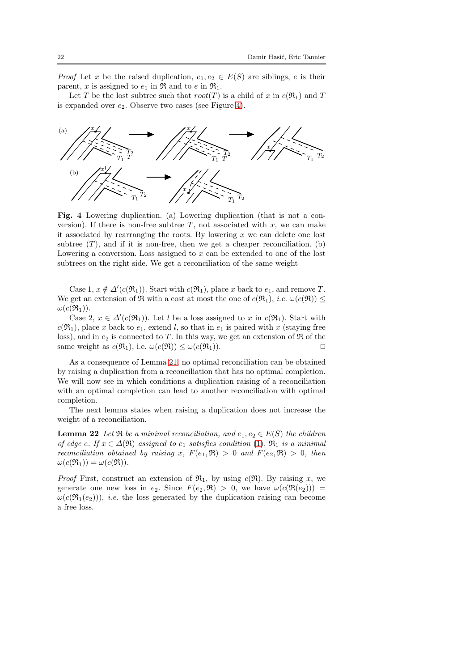*Proof* Let x be the raised duplication,  $e_1, e_2 \in E(S)$  are siblings, e is their parent, x is assigned to  $e_1$  in  $\Re$  and to  $e$  in  $\Re_1$ .

Let T be the lost subtree such that  $root(T)$  is a child of x in  $c(\mathfrak{R}_1)$  and T is expanded over  $e_2$ . Observe two cases (see Figure [4\)](#page-21-0).

<span id="page-21-0"></span>

Fig. 4 Lowering duplication. (a) Lowering duplication (that is not a conversion). If there is non-free subtree  $T$ , not associated with  $x$ , we can make it associated by rearranging the roots. By lowering  $x$  we can delete one lost subtree  $(T)$ , and if it is non-free, then we get a cheaper reconciliation. (b) Lowering a conversion. Loss assigned to  $x$  can be extended to one of the lost subtrees on the right side. We get a reconciliation of the same weight

Case 1,  $x \notin \Delta'(c(\mathfrak{R}_1))$ . Start with  $c(\mathfrak{R}_1)$ , place x back to  $e_1$ , and remove T. We get an extension of  $\Re$  with a cost at most the one of  $c(\Re_1)$ , *i.e.*  $\omega(c(\Re)) \leq$  $\omega(c(\mathfrak{R}_1)).$ 

Case 2,  $x \in \Delta'(c(\mathfrak{R}_1))$ . Let l be a loss assigned to x in  $c(\mathfrak{R}_1)$ . Start with  $c(\mathfrak{R}_1)$ , place x back to  $e_1$ , extend l, so that in  $e_1$  is paired with x (staying free loss), and in  $e_2$  is connected to T. In this way, we get an extension of  $\Re$  of the same weight as  $c(\mathfrak{R}_1)$ , i.e.  $\omega(c(\mathfrak{R})) \leq \omega(c(\mathfrak{R}_1))$ .

As a consequence of Lemma [21,](#page-20-1) no optimal reconciliation can be obtained by raising a duplication from a reconciliation that has no optimal completion. We will now see in which conditions a duplication raising of a reconciliation with an optimal completion can lead to another reconciliation with optimal completion.

<span id="page-21-1"></span>The next lemma states when raising a duplication does not increase the weight of a reconciliation.

**Lemma 22** Let  $\Re$  be a minimal reconciliation, and  $e_1, e_2 \in E(S)$  the children of edge e. If  $x \in \Delta(\mathfrak{R})$  assigned to  $e_1$  satisfies condition [\(1\)](#page-20-2),  $\mathfrak{R}_1$  is a minimal reconciliation obtained by raising x,  $F(e_1, \mathfrak{R}) > 0$  and  $F(e_2, \mathfrak{R}) > 0$ , then  $\omega(c(\mathfrak{R}_1)) = \omega(c(\mathfrak{R})).$ 

*Proof* First, construct an extension of  $\mathfrak{R}_1$ , by using  $c(\mathfrak{R})$ . By raising x, we generate one new loss in  $e_2$ . Since  $F(e_2, \mathfrak{R}) > 0$ , we have  $\omega(c(\mathfrak{R}(e_2))) =$  $\omega(c(\mathfrak{R}_1(e_2)))$ , *i.e.* the loss generated by the duplication raising can become a free loss.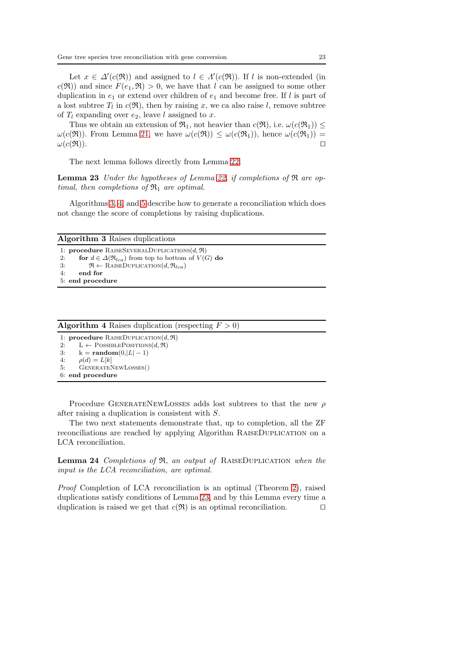Let  $x \in \Delta'(c(\mathfrak{R}))$  and assigned to  $l \in \Lambda'(c(\mathfrak{R}))$ . If l is non-extended (in  $c(\mathfrak{R})$  and since  $F(e_1, \mathfrak{R}) > 0$ , we have that l can be assigned to some other duplication in  $e_1$  or extend over children of  $e_1$  and become free. If l is part of a lost subtree  $T_l$  in  $c(\mathfrak{R})$ , then by raising x, we ca also raise l, remove subtree of  $T_l$  expanding over  $e_2$ , leave l assigned to x.

Thus we obtain an extension of  $\mathfrak{R}_1$ , not heavier than  $c(\mathfrak{R})$ , i.e.  $\omega(c(\mathfrak{R}_1)) \leq$  $\omega(c(\mathfrak{R}))$ . From Lemma [21,](#page-20-1) we have  $\omega(c(\mathfrak{R})) \leq \omega(c(\mathfrak{R}_1))$ , hence  $\omega(c(\mathfrak{R}_1)) =$  $\omega(c(\mathfrak{R})).$ 

<span id="page-22-2"></span>The next lemma follows directly from Lemma [22.](#page-21-1)

**Lemma 23** Under the hypotheses of Lemma [22,](#page-21-1) if completions of  $\Re$  are optimal, then completions of  $\mathfrak{R}_1$  are optimal.

Algorithms [3,](#page-22-0) [4,](#page-22-1) and [5](#page-23-0) describe how to generate a reconciliation which does not change the score of completions by raising duplications.

<span id="page-22-0"></span>

| <b>Algorithm 3</b> Raises duplications                                       |  |  |  |  |  |  |
|------------------------------------------------------------------------------|--|--|--|--|--|--|
| 1: <b>procedure</b> RAISESEVERALDUPLICATIONS $(d, \mathfrak{R})$             |  |  |  |  |  |  |
| for $d \in \Delta(\mathfrak{R}_{lca})$ from top to bottom of $V(G)$ do<br>2: |  |  |  |  |  |  |
| $\mathfrak{R} \leftarrow$ RAISEDUPLICATION $(d, \mathfrak{R}_{lca})$<br>3:   |  |  |  |  |  |  |
| end for<br>4:                                                                |  |  |  |  |  |  |
| 5: end procedure                                                             |  |  |  |  |  |  |

<span id="page-22-1"></span>

| <b>Algorithm 4</b> Raises duplication (respecting $F > 0$ ) |  |  |  |  |  |  |
|-------------------------------------------------------------|--|--|--|--|--|--|
|-------------------------------------------------------------|--|--|--|--|--|--|

1: **procedure** RAISEDUPLICATION $(d, \Re)$ <br>2:  $L \leftarrow \text{PossIREPosITIONS}(d, \Re)$  $L \leftarrow$  POSSIBLEPOSITIONS $(d, \Re)$ 3:  $k = \text{random}(0, |L| - 1)$ <br>4:  $o(d) = L[k]$  $\rho(d) = L[k]$ 5: GenerateNewLosses() 6: end procedure

Procedure GENERATENEWLOSSES adds lost subtrees to that the new  $\rho$ after raising a duplication is consistent with S.

<span id="page-22-4"></span>The two next statements demonstrate that, up to completion, all the ZF reconciliations are reached by applying Algorithm RaiseDuplication on a LCA reconciliation.

Lemma 24 Completions of  $\Re$ , an output of RAISEDUPLICATION when the input is the LCA reconciliation, are optimal.

<span id="page-22-3"></span>Proof Completion of LCA reconciliation is an optimal (Theorem [2\)](#page-14-0), raised duplications satisfy conditions of Lemma [23,](#page-22-2) and by this Lemma every time a duplication is raised we get that  $c(\mathfrak{R})$  is an optimal reconciliation. □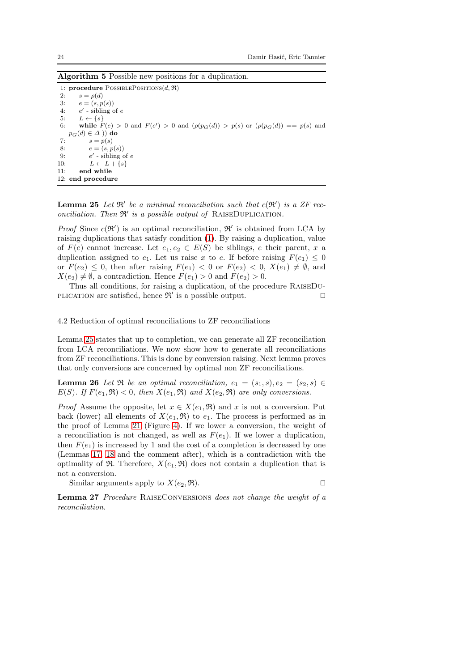<span id="page-23-0"></span>Algorithm 5 Possible new positions for a duplication.

1: procedure POSSIBLEPOSITIONS $(d, \Re)$ 2:  $s = \rho(d)$ <br>3:  $e = (s, p)$  $e = (s, p(s))$ 4:  $e'$  - sibling of  $e$ 5:  $L \leftarrow \{s\}$ <br>6: while F 6: while  $F(e) > 0$  and  $F(e') > 0$  and  $(\rho(p_G(d)) > p(s)$  or  $(\rho(p_G(d)) == p(s)$  and  $p_G(d) \in \Delta$ )) do 7:  $s = p(s)$ 8:  $e = (s, p(s))$  $\frac{9}{10}$  $\prime$  - sibling of  $e$  $L \leftarrow L + \{s\}$ 11: end while 12: end procedure

**Lemma 25** Let  $\mathbb{R}'$  be a minimal reconciliation such that  $c(\mathbb{R}')$  is a ZF reconciliation. Then  $\mathfrak{R}'$  is a possible output of RAISEDUPLICATION.

*Proof* Since  $c(\mathfrak{R}')$  is an optimal reconciliation,  $\mathfrak{R}'$  is obtained from LCA by raising duplications that satisfy condition [\(1\)](#page-20-2). By raising a duplication, value of  $F(e)$  cannot increase. Let  $e_1, e_2 \in E(S)$  be siblings, e their parent, x a duplication assigned to  $e_1$ . Let us raise x to e. If before raising  $F(e_1) \leq 0$ or  $F(e_2) \leq 0$ , then after raising  $F(e_1) < 0$  or  $F(e_2) < 0$ ,  $X(e_1) \neq \emptyset$ , and  $X(e_2) \neq \emptyset$ , a contradiction. Hence  $F(e_1) > 0$  and  $F(e_2) > 0$ .

Thus all conditions, for raising a duplication, of the procedure RaiseDu-PLICATION are satisfied, hence  $\mathfrak{R}'$  is a possible output. □

4.2 Reduction of optimal reconciliations to ZF reconciliations

Lemma [25](#page-22-3) states that up to completion, we can generate all ZF reconciliation from LCA reconciliations. We now show how to generate all reconciliations from ZF reconciliations. This is done by conversion raising. Next lemma proves that only conversions are concerned by optimal non ZF reconciliations.

<span id="page-23-1"></span>**Lemma 26** Let  $\Re$  be an optimal reconciliation,  $e_1 = (s_1, s), e_2 = (s_2, s) \in \Re$  $E(S)$ . If  $F(e_1, \mathfrak{R}) < 0$ , then  $X(e_1, \mathfrak{R})$  and  $X(e_2, \mathfrak{R})$  are only conversions.

*Proof* Assume the opposite, let  $x \in X(e_1, \mathfrak{R})$  and x is not a conversion. Put back (lower) all elements of  $X(e_1, \mathfrak{R})$  to  $e_1$ . The process is performed as in the proof of Lemma [21](#page-20-1) (Figure [4\)](#page-21-0). If we lower a conversion, the weight of a reconciliation is not changed, as well as  $F(e_1)$ . If we lower a duplication, then  $F(e_1)$  is increased by 1 and the cost of a completion is decreased by one (Lemmas [17,](#page-16-2) [18](#page-17-0) and the comment after), which is a contradiction with the optimality of  $\mathfrak{R}$ . Therefore,  $X(e_1, \mathfrak{R})$  does not contain a duplication that is not a conversion.

Similar arguments apply to  $X(e_2, \mathfrak{R})$ . □

$$
\text{By to } \Lambda(e_2, \mathfrak{R}).
$$

<span id="page-23-2"></span>Lemma 27 Procedure RAISECONVERSIONS does not change the weight of a reconciliation.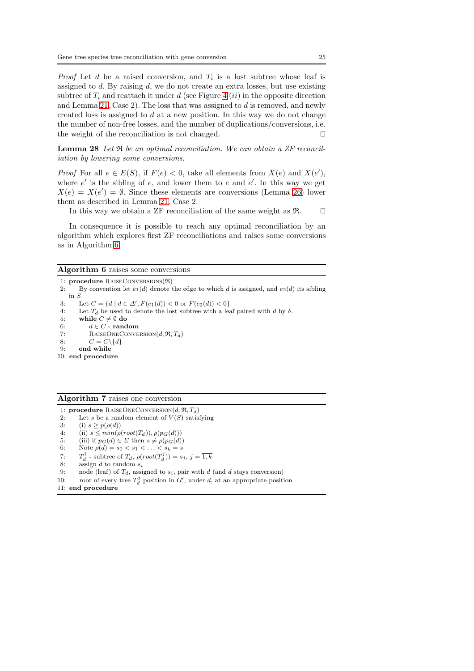*Proof* Let  $d$  be a raised conversion, and  $T_i$  is a lost subtree whose leaf is assigned to  $d$ . By raising  $d$ , we do not create an extra losses, but use existing subtree of  $T_i$  and reattach it under d (see Figure [4](#page-21-0) *(ii)* in the opposite direction and Lemma [21,](#page-20-1) Case 2). The loss that was assigned to d is removed, and newly created loss is assigned to  $d$  at a new position. In this way we do not change the number of non-free losses, and the number of duplications/conversions, i.e. the weight of the reconciliation is not changed. □

<span id="page-24-1"></span>Lemma 28 Let  $\Re$  be an optimal reconciliation. We can obtain a ZF reconciliation by lowering some conversions.

*Proof* For all  $e \in E(S)$ , if  $F(e) < 0$ , take all elements from  $X(e)$  and  $X(e')$ , where  $e'$  is the sibling of  $e$ , and lower them to  $e$  and  $e'$ . In this way we get  $X(e) = X(e') = \emptyset$ . Since these elements are conversions (Lemma [26\)](#page-23-1) lower them as described in Lemma [21,](#page-20-1) Case 2.

In this way we obtain a ZF reconciliation of the same weight as R. ⊓⊔

In consequence it is possible to reach any optimal reconciliation by an algorithm which explores first ZF reconciliations and raises some conversions as in Algorithm [6.](#page-24-0)

# <span id="page-24-0"></span>Algorithm 6 raises some conversions

1: procedure RaiseConversions(R) 2: By convention let  $e_1(d)$  denote the edge to which d is assigned, and  $e_2(d)$  its sibling in S. 3: Let  $C = \{d \mid d \in \Delta', F(e_1(d)) < 0 \text{ or } F(e_2(d)) < 0\}$ 4: Let  $T_d$  be used to denote the lost subtree with a leaf paired with d by  $\delta$ .<br>5: while  $C \neq \emptyset$  do while  $C \neq \emptyset$  do 6:  $d \in C$  - random 7: RAISEONECONVERSION $(d, \mathfrak{R}, T_d)$ <br>8:  $C = C \setminus \{d\}$  $C = C \setminus \{d\}$ 9: end while 10: end procedure

## <span id="page-24-2"></span>Algorithm 7 raises one conversion

1: procedure RAISEONECONVERSION $(d, \mathfrak{R}, T_d)$ 

- 2: Let s be a random element of  $V(S)$  satisfying<br>3: (i)  $s > p(\rho(d))$
- $(i)$  s >  $p(\rho(d))$
- 4: (ii)  $s \leq min(\rho(root(T_d)), \rho(p_G(d)))$ <br>5: (iii) if  $p_G(d) \in \Sigma$  then  $s \neq \rho(p_G(d))$
- 5: (iii) if  $p_G(d) \in \Sigma$  then  $s \neq \rho(p_G(d))$ <br>6: Note  $\rho(d) = s_0 \leq s_1 \leq \ldots \leq s_k = s$
- Note  $\rho(d) = s_0 < s_1 < \ldots < s_k = s$
- 7:  $T_d^j$  subtree of  $T_d$ ,  $\rho(root(T_d^j)) = s_j$ ,  $j = \overline{1,k}$
- 8: assign  $d$  to random  $s_i$
- 9: node (leaf) of  $T_d$ , assigned to  $s_i$ , pair with d (and d stays conversion)
- 10: root of every tree  $T_d^j$  position in  $G'$ , under d, at an appropriate position
- 11: end procedure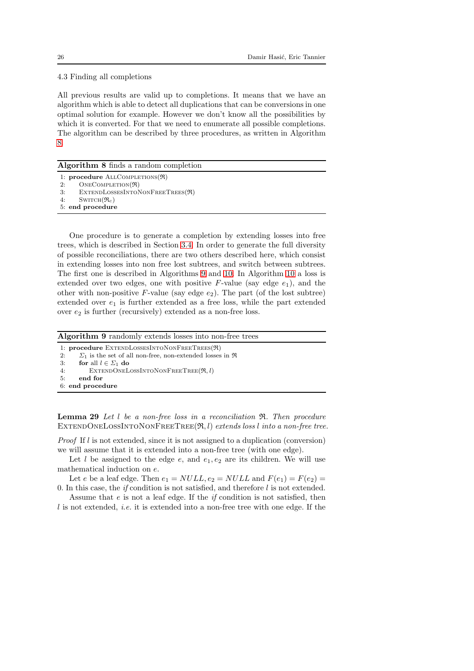4.3 Finding all completions

All previous results are valid up to completions. It means that we have an algorithm which is able to detect all duplications that can be conversions in one optimal solution for example. However we don't know all the possibilities by which it is converted. For that we need to enumerate all possible completions. The algorithm can be described by three procedures, as written in Algorithm [8.](#page-25-0)

## <span id="page-25-0"></span>Algorithm 8 finds a random completion

- 1: procedure ALLCOMPLETIONS( $\Re$ )
- 2:  $ONECOMPLEITION(\mathfrak{R})$
- 3: ExtendLossesIntoNonFreeTrees(R)
- 4:  $\text{SWITCH}(\mathfrak{R}_c)$ 5: end procedure
- 

One procedure is to generate a completion by extending losses into free trees, which is described in Section [3.4.](#page-15-0) In order to generate the full diversity of possible reconciliations, there are two others described here, which consist in extending losses into non free lost subtrees, and switch between subtrees. The first one is described in Algorithms [9](#page-25-1) and [10.](#page-26-0) In Algorithm [10](#page-26-0) a loss is extended over two edges, one with positive  $F$ -value (say edge  $e_1$ ), and the other with non-positive  $F$ -value (say edge  $e_2$ ). The part (of the lost subtree) extended over  $e_1$  is further extended as a free loss, while the part extended over  $e_2$  is further (recursively) extended as a non-free loss.

<span id="page-25-1"></span>Algorithm 9 randomly extends losses into non-free trees

- 1: procedure ExtendLossesIntoNonFreeTrees(R)
- 2:  $\Sigma_1$  is the set of all non-free, non-extended losses in  $\Re$ <br>3: **for** all  $l \in \Sigma_1$  **do**
- for all  $l \in \Sigma_1$  do
- 4: EXTENDONELOSSINTONONFREETREE $(\Re, l)$ <br>5: end for
- end for
- 6: end procedure

<span id="page-25-2"></span>**Lemma 29** Let  $l$  be a non-free loss in a reconciliation  $\Re$ . Then procedure EXTENDONELOSSINTONONFREETREE $(\mathfrak{R}, l)$  extends loss l into a non-free tree.

*Proof* If  $l$  is not extended, since it is not assigned to a duplication (conversion) we will assume that it is extended into a non-free tree (with one edge).

Let l be assigned to the edge e, and  $e_1, e_2$  are its children. We will use mathematical induction on e.

Let e be a leaf edge. Then  $e_1 = NULL$ ,  $e_2 = NULL$  and  $F(e_1) = F(e_2)$ 0. In this case, the *if* condition is not satisfied, and therefore  $l$  is not extended.

Assume that  $e$  is not a leaf edge. If the *if* condition is not satisfied, then  $l$  is not extended, *i.e.* it is extended into a non-free tree with one edge. If the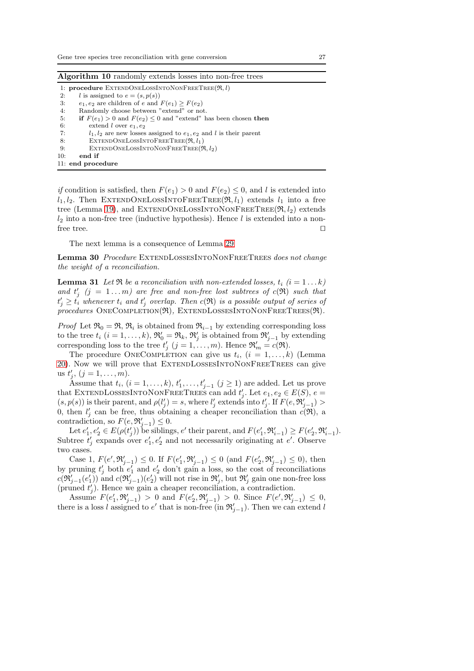<span id="page-26-0"></span>

| <b>Algorithm 10</b> randomly extends losses into non-free trees                           |  |  |  |  |  |  |
|-------------------------------------------------------------------------------------------|--|--|--|--|--|--|
| 1: procedure EXTENDONELOSSINTONONFREETREE( $\Re$ , l)                                     |  |  |  |  |  |  |
| l is assigned to $e = (s, p(s))$<br>2:                                                    |  |  |  |  |  |  |
| $e_1, e_2$ are children of e and $F(e_1) > F(e_2)$<br>3.                                  |  |  |  |  |  |  |
| Randomly choose between "extend" or not.<br>4:                                            |  |  |  |  |  |  |
| <b>if</b> $F(e_1) > 0$ and $F(e_2) \leq 0$ and "extend" has been chosen <b>then</b><br>5. |  |  |  |  |  |  |
| 6.<br>extend l over $e_1, e_2$                                                            |  |  |  |  |  |  |
| 7:<br>$l_1, l_2$ are new losses assigned to $e_1, e_2$ and l is their parent              |  |  |  |  |  |  |
| EXTENDONELOSSINTOFREETREE( $\Re$ , $l_1$ )<br>8:                                          |  |  |  |  |  |  |
| EXTENDONELOSSINTONONFREETREE $(\Re, l_2)$<br>9:                                           |  |  |  |  |  |  |
| end if<br>10:                                                                             |  |  |  |  |  |  |
| 11: end procedure                                                                         |  |  |  |  |  |  |

if condition is satisfied, then  $F(e_1) > 0$  and  $F(e_2) \leq 0$ , and l is extended into  $l_1, l_2$ . Then EXTENDONELOSSINTOFREETREE( $\Re, l_1$ ) extends  $l_1$  into a free tree (Lemma [19\)](#page-17-3), and EXTENDONELOSSINTONONFREETREE $(\Re, l_2)$  extends  $l_2$  into a non-free tree (inductive hypothesis). Hence l is extended into a nonfree tree. □

<span id="page-26-2"></span>The next lemma is a consequence of Lemma [29](#page-25-2)

Lemma 30 Procedure EXTENDLOSSESINTONONFREETREES does not change the weight of a reconciliation.

<span id="page-26-1"></span>**Lemma 31** Let  $\Re$  be a reconciliation with non-extended losses,  $t_i$  ( $i = 1...k$ ) and  $t'_{j}$  (j = 1...m) are free and non-free lost subtrees of  $c(\Re)$  such that  $t'_j \geq t'_i$  whenever  $t_i$  and  $t'_j$  overlap. Then  $c(\mathfrak{R})$  is a possible output of series of  $procedures$  ONECOMPLETION( $\Re$ ), EXTENDLOSSESINTONONFREETREES( $\Re$ ).

*Proof* Let  $\mathfrak{R}_0 = \mathfrak{R}, \mathfrak{R}_i$  is obtained from  $\mathfrak{R}_{i-1}$  by extending corresponding loss to the tree  $t_i$   $(i = 1, ..., k)$ ,  $\mathfrak{R}'_0 = \mathfrak{R}_k$ ,  $\mathfrak{R}'_j$  is obtained from  $\mathfrak{R}'_{j-1}$  by extending corresponding loss to the tree  $t'_{j}$   $(j = 1, ..., m)$ . Hence  $\mathfrak{R}'_{m} = c(\mathfrak{R})$ .

The procedure ONECOMPLETION can give us  $t_i$ ,  $(i = 1, ..., k)$  (Lemma [20\)](#page-18-0). Now we will prove that ExtendLossesIntoNonFreeTrees can give us  $t'_{j}, (j = 1, \ldots, m)$ .

Assume that  $t_i$ ,  $(i = 1, ..., k)$ ,  $t'_1, ..., t'_{j-1}$   $(j \geq 1)$  are added. Let us prove that EXTENDLOSSESINTONONFREETREES can add  $t'_{j}$ . Let  $e_{1}, e_{2} \in E(S)$ ,  $e =$  $(s, p(s))$  is their parent, and  $p(l'_j) = s$ , where  $l'_j$  extends into  $t'_j$ . If  $F(e, \mathfrak{R}'_{j-1}) >$ 0, then  $l'_j$  can be free, thus obtaining a cheaper reconciliation than  $c(\mathfrak{R})$ , a contradiction, so  $F(e, \mathfrak{R}_{j-1}') \leq 0$ .

Let  $e'_1, e'_2 \in E(\rho(t'_j))$  be siblings,  $e'$  their parent, and  $F(e'_1, \mathfrak{R}'_{i-1}) \geq F(e'_2, \mathfrak{R}'_{i-1}).$ Subtree  $t'_j$  expands over  $e'_1, e'_2$  and not necessarily originating at e'. Observe two cases.

Case 1,  $F(e', \mathfrak{R}_{j-1}') \leq 0$ . If  $F(e'_1, \mathfrak{R}_{j-1}') \leq 0$  (and  $F(e'_2, \mathfrak{R}_{j-1}') \leq 0$ ), then by pruning  $t'_j$  both  $e'_1$  and  $e'_2$  don't gain a loss, so the cost of reconciliations  $c(\mathfrak{R}'_{j-1}(e'_1))$  and  $c(\mathfrak{R}'_{j-1})(e'_2)$  will not rise in  $\mathfrak{R}'_j$ , but  $\mathfrak{R}'_j$  gain one non-free loss (pruned  $t'_{j}$ ). Hence we gain a cheaper reconciliation, a contradiction.

Assume  $F(e'_1, \mathfrak{R}'_{j-1}) > 0$  and  $F(e'_2, \mathfrak{R}'_{j-1}) > 0$ . Since  $F(e', \mathfrak{R}'_{j-1}) \leq 0$ , there is a loss l assigned to e' that is non-free (in  $\mathfrak{R}'_{j-1}$ ). Then we can extend l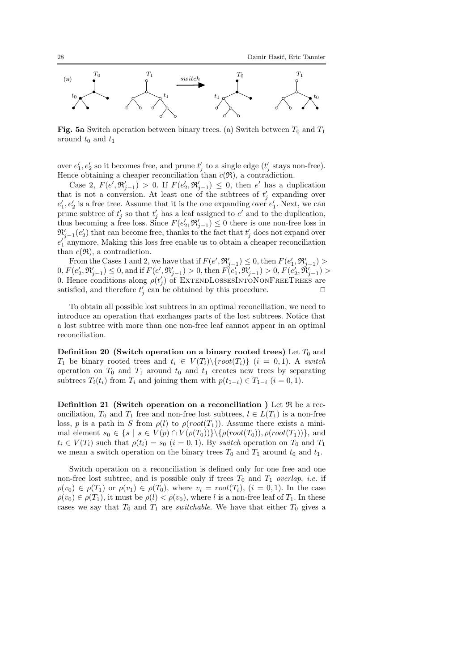

**Fig. 5a** Switch operation between binary trees. (a) Switch between  $T_0$  and  $T_1$ around  $t_0$  and  $t_1$ 

over  $e'_1, e'_2$  so it becomes free, and prune  $t'_j$  to a single edge  $(t'_j$  stays non-free). Hence obtaining a cheaper reconciliation than  $c(\mathfrak{R})$ , a contradiction.

Case 2,  $F(e', \mathfrak{R}_{j-1}') > 0$ . If  $F(e'_2, \mathfrak{R}_{j-1}') \leq 0$ , then e' has a duplication that is not a conversion. At least one of the subtrees of  $t'_{j}$  expanding over  $e'_1, e'_2$  is a free tree. Assume that it is the one expanding over  $e'_1$ . Next, we can prune subtree of  $t'_{j}$  so that  $t'_{j}$  has a leaf assigned to  $e'$  and to the duplication, thus becoming a free loss. Since  $F(e'_2, \mathfrak{R}'_{j-1}) \leq 0$  there is one non-free loss in  $\mathfrak{R}'_{j-1}(e'_2)$  that can become free, thanks to the fact that  $t'_j$  does not expand over  $e'_1$  anymore. Making this loss free enable us to obtain a cheaper reconciliation than  $c(\mathfrak{R})$ , a contradiction.

From the Cases 1 and 2, we have that if  $F(e', \mathfrak{R}'_{j-1}) \leq 0$ , then  $F(e'_1, \mathfrak{R}'_{j-1}) >$  $0, F(e'_2, \mathfrak{R}'_{j-1}) \leq 0$ , and if  $F(e', \mathfrak{R}'_{j-1}) > 0$ , then  $F(e'_1, \mathfrak{R}'_{j-1}) > 0, F(e'_2, \mathfrak{R}'_{j-1}) > 0$ 0. Hence conditions along  $\rho(t'_j)$  of EXTENDLOSSESINTONONFREETREES are satisfied, and therefore  $t'_{j}$  can be obtained by this procedure. □

To obtain all possible lost subtrees in an optimal reconciliation, we need to introduce an operation that exchanges parts of the lost subtrees. Notice that a lost subtree with more than one non-free leaf cannot appear in an optimal reconciliation.

Definition 20 (Switch operation on a binary rooted trees) Let  $T_0$  and  $T_1$  be binary rooted trees and  $t_i \in V(T_i) \setminus \{root(T_i)\}$   $(i = 0, 1)$ . A switch operation on  $T_0$  and  $T_1$  around  $t_0$  and  $t_1$  creates new trees by separating subtrees  $T_i(t_i)$  from  $T_i$  and joining them with  $p(t_{1-i}) \in T_{1-i}$   $(i = 0, 1)$ .

<span id="page-27-0"></span>**Definition 21** (Switch operation on a reconciliation) Let  $\Re$  be a reconciliation,  $T_0$  and  $T_1$  free and non-free lost subtrees,  $l \in L(T_1)$  is a non-free loss, p is a path in S from  $\rho(l)$  to  $\rho(root(T_1))$ . Assume there exists a minimal element  $s_0 \in \{s \mid s \in V(p) \cap V(\rho(T_0))\} \setminus {\rho(root(T_0)), \rho(root(T_1))}$ , and  $t_i \in V(T_i)$  such that  $\rho(t_i) = s_0$   $(i = 0, 1)$ . By switch operation on  $T_0$  and  $T_1$ we mean a switch operation on the binary trees  $T_0$  and  $T_1$  around  $t_0$  and  $t_1$ .

Switch operation on a reconciliation is defined only for one free and one non-free lost subtree, and is possible only if trees  $T_0$  and  $T_1$  overlap, *i.e.* if  $\rho(v_0) \in \rho(T_1)$  or  $\rho(v_1) \in \rho(T_0)$ , where  $v_i = root(T_i)$ ,  $(i = 0, 1)$ . In the case  $\rho(v_0) \in \rho(T_1)$ , it must be  $\rho(l) < \rho(v_0)$ , where l is a non-free leaf of  $T_1$ . In these cases we say that  $T_0$  and  $T_1$  are *switchable*. We have that either  $T_0$  gives a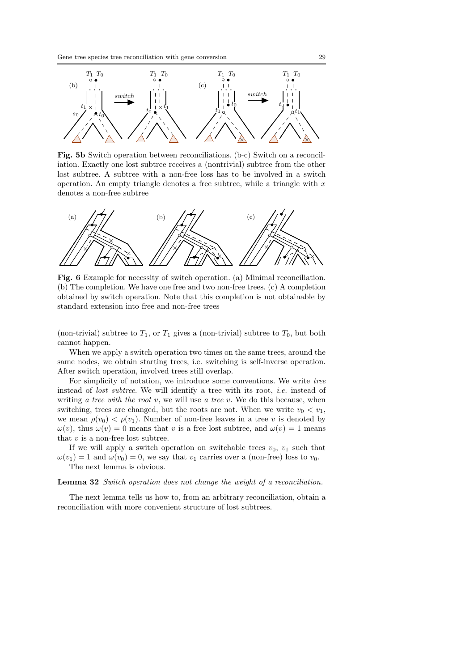

Fig. 5b Switch operation between reconciliations. (b-c) Switch on a reconciliation. Exactly one lost subtree receives a (nontrivial) subtree from the other lost subtree. A subtree with a non-free loss has to be involved in a switch operation. An empty triangle denotes a free subtree, while a triangle with  $x$ denotes a non-free subtree



Fig. 6 Example for necessity of switch operation. (a) Minimal reconciliation. (b) The completion. We have one free and two non-free trees. (c) A completion obtained by switch operation. Note that this completion is not obtainable by standard extension into free and non-free trees

(non-trivial) subtree to  $T_1$ , or  $T_1$  gives a (non-trivial) subtree to  $T_0$ , but both cannot happen.

When we apply a switch operation two times on the same trees, around the same nodes, we obtain starting trees, i.e. switching is self-inverse operation. After switch operation, involved trees still overlap.

For simplicity of notation, we introduce some conventions. We write tree instead of *lost subtree*. We will identify a tree with its root, *i.e.* instead of writing a tree with the root v, we will use a tree v. We do this because, when switching, trees are changed, but the roots are not. When we write  $v_0 < v_1$ , we mean  $\rho(v_0) < \rho(v_1)$ . Number of non-free leaves in a tree v is denoted by  $\omega(v)$ , thus  $\omega(v) = 0$  means that v is a free lost subtree, and  $\omega(v) = 1$  means that  $v$  is a non-free lost subtree.

If we will apply a switch operation on switchable trees  $v_0$ ,  $v_1$  such that  $\omega(v_1) = 1$  and  $\omega(v_0) = 0$ , we say that  $v_1$  carries over a (non-free) loss to  $v_0$ . The next lemma is obvious.

#### <span id="page-28-0"></span>Lemma 32 Switch operation does not change the weight of a reconciliation.

<span id="page-28-1"></span>The next lemma tells us how to, from an arbitrary reconciliation, obtain a reconciliation with more convenient structure of lost subtrees.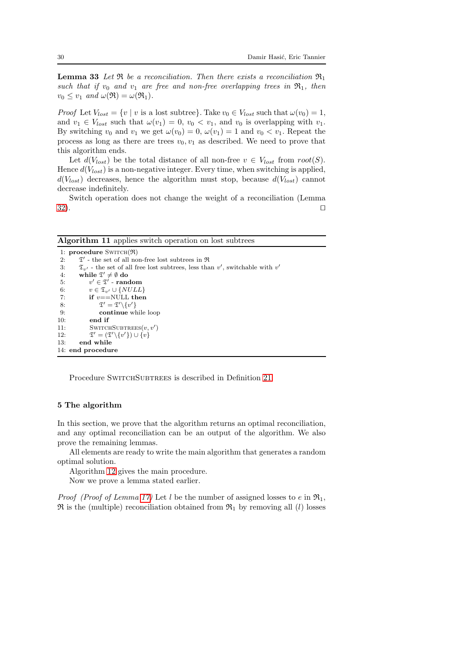**Lemma 33** Let  $\Re$  be a reconciliation. Then there exists a reconciliation  $\Re_1$ such that if  $v_0$  and  $v_1$  are free and non-free overlapping trees in  $\mathfrak{R}_1$ , then  $v_0 \leq v_1$  and  $\omega(\Re) = \omega(\Re_1)$ .

*Proof* Let  $V_{lost} = \{v \mid v \text{ is a lost subtree}\}\)$ . Take  $v_0 \in V_{lost}$  such that  $\omega(v_0) = 1$ , and  $v_1 \in V_{lost}$  such that  $\omega(v_1) = 0$ ,  $v_0 < v_1$ , and  $v_0$  is overlapping with  $v_1$ . By switching  $v_0$  and  $v_1$  we get  $\omega(v_0) = 0$ ,  $\omega(v_1) = 1$  and  $v_0 < v_1$ . Repeat the process as long as there are trees  $v_0, v_1$  as described. We need to prove that this algorithm ends.

Let  $d(V_{lost})$  be the total distance of all non-free  $v \in V_{lost}$  from  $root(S)$ . Hence  $d(V_{lost})$  is a non-negative integer. Every time, when switching is applied,  $d(V_{lost})$  decreases, hence the algorithm must stop, because  $d(V_{lost})$  cannot decrease indefinitely.

Switch operation does not change the weight of a reconciliation (Lemma  $32$ ).  $□$ 

<span id="page-29-1"></span>Algorithm 11 applies switch operation on lost subtrees

```
1: procedure \text{SWITCH}(\mathfrak{R})2: \mathfrak{T}' - the set of all non-free lost subtrees in \Re3: \mathfrak{T}_{v'} - the set of all free lost subtrees, less than v', switchable with v'4: while \mathfrak{T}' \neq \emptyset do
 5:\ell' \in \mathfrak{T}' - random
 6: v \in \mathfrak{T}_{v'} \cup \{NULL\}<br>7: if v == \text{NULL} then
               if v = =NULL then
  8: \mathfrak{T}' = \mathfrak{T}' \setminus \{v'\}9: continue while loop 10: end if
                end if
11: SWITCHSUBTREES(v, v')\frac{12}{13}:
                  \vec{v}' = (\mathfrak{T}' \backslash \{v'\}) \cup \overrightarrow{\{v\}}end while
14: end procedure
```
Procedure SWITCHSUBTREES is described in Definition [21.](#page-27-0)

## <span id="page-29-0"></span>5 The algorithm

In this section, we prove that the algorithm returns an optimal reconciliation, and any optimal reconciliation can be an output of the algorithm. We also prove the remaining lemmas.

All elements are ready to write the main algorithm that generates a random optimal solution.

Algorithm [12](#page-30-0) gives the main procedure.

Now we prove a lemma stated earlier.

*Proof (Proof of Lemma [17\)](#page-16-2)* Let l be the number of assigned losses to e in  $\mathfrak{R}_1$ ,  $\mathfrak{R}$  is the (multiple) reconciliation obtained from  $\mathfrak{R}_1$  by removing all (*l*) losses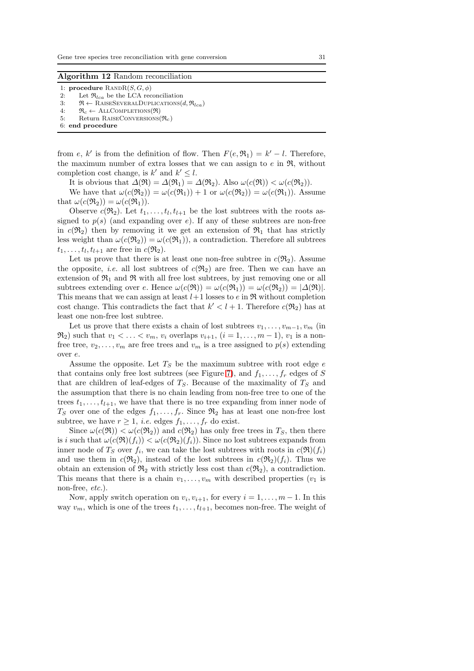#### <span id="page-30-0"></span>Algorithm 12 Random reconciliation

1: procedure  $\text{RANDR}(S, G, \phi)$ 

- 2: Let  $\mathfrak{R}_{lca}$  be the LCA reconciliation<br>3:  $\mathfrak{R} \leftarrow$  RAISESEVERALDUPLICATIONS(
- 3:  $\mathfrak{R} \leftarrow$  RAISESEVERALDUPLICATIONS $(d, \mathfrak{R}_{lca})$ <br>4:  $\mathfrak{R}_{c} \leftarrow$  ALLCOMPLETIONS $(\mathfrak{R})$
- 4:  $\mathfrak{R}_c \leftarrow \text{ALLCOMPLETIONS}(\mathfrak{R})$ <br>5: Return RAISECONVERSIONS
- Return RAISECONVERSIONS $(\Re_c)$

6: end procedure

from e, k' is from the definition of flow. Then  $F(e, \mathfrak{R}_1) = k' - l$ . Therefore, the maximum number of extra losses that we can assign to  $e$  in  $\mathfrak{R}$ , without completion cost change, is  $k'$  and  $k' \leq l$ .

It is obvious that  $\Delta(\mathfrak{R}) = \Delta(\mathfrak{R}_1) = \Delta(\mathfrak{R}_2)$ . Also  $\omega(c(\mathfrak{R})) < \omega(c(\mathfrak{R}_2))$ .

We have that  $\omega(c(\mathfrak{R}_2)) = \omega(c(\mathfrak{R}_1)) + 1$  or  $\omega(c(\mathfrak{R}_2)) = \omega(c(\mathfrak{R}_1))$ . Assume that  $\omega(c(\mathfrak{R}_2)) = \omega(c(\mathfrak{R}_1)).$ 

Observe  $c(\mathfrak{R}_2)$ . Let  $t_1, \ldots, t_l, t_{l+1}$  be the lost subtrees with the roots assigned to  $p(s)$  (and expanding over e). If any of these subtrees are non-free in  $c(\mathfrak{R}_2)$  then by removing it we get an extension of  $\mathfrak{R}_1$  that has strictly less weight than  $\omega(c(\mathfrak{R}_2)) = \omega(c(\mathfrak{R}_1))$ , a contradiction. Therefore all subtrees  $t_1, \ldots, t_l, t_{l+1}$  are free in  $c(\mathfrak{R}_2)$ .

Let us prove that there is at least one non-free subtree in  $c(\mathfrak{R}_2)$ . Assume the opposite, *i.e.* all lost subtrees of  $c(\mathfrak{R}_2)$  are free. Then we can have an extension of  $\mathfrak{R}_1$  and  $\mathfrak{R}$  with all free lost subtrees, by just removing one or all subtrees extending over e. Hence  $\omega(c(\mathfrak{R})) = \omega(c(\mathfrak{R}_1)) = \omega(c(\mathfrak{R}_2)) = |\Delta(\mathfrak{R})|$ . This means that we can assign at least  $l+1$  losses to e in  $\Re$  without completion cost change. This contradicts the fact that  $k' < l + 1$ . Therefore  $c(\mathfrak{R}_2)$  has at least one non-free lost subtree.

Let us prove that there exists a chain of lost subtrees  $v_1, \ldots, v_{m-1}, v_m$  (in  $\mathfrak{R}_2$ ) such that  $v_1 < \ldots < v_m$ ,  $v_i$  overlaps  $v_{i+1}$ ,  $(i = 1, \ldots, m-1)$ ,  $v_1$  is a nonfree tree,  $v_2, \ldots, v_m$  are free trees and  $v_m$  is a tree assigned to  $p(s)$  extending over e.

Assume the opposite. Let  $T<sub>S</sub>$  be the maximum subtree with root edge e that contains only free lost subtrees (see Figure [7\)](#page-31-0), and  $f_1, \ldots, f_r$  edges of S that are children of leaf-edges of  $T<sub>S</sub>$ . Because of the maximality of  $T<sub>S</sub>$  and the assumption that there is no chain leading from non-free tree to one of the trees  $t_1, \ldots, t_{l+1}$ , we have that there is no tree expanding from inner node of  $T_S$  over one of the edges  $f_1, \ldots, f_r$ . Since  $\mathfrak{R}_2$  has at least one non-free lost subtree, we have  $r \geq 1$ , *i.e.* edges  $f_1, \ldots, f_r$  do exist.

Since  $\omega(c(\mathfrak{R})) < \omega(c(\mathfrak{R}_2))$  and  $c(\mathfrak{R}_2)$  has only free trees in  $T_S$ , then there is i such that  $\omega(c(\mathfrak{R})(f_i)) < \omega(c(\mathfrak{R}_2)(f_i))$ . Since no lost subtrees expands from inner node of  $T_S$  over  $f_i$ , we can take the lost subtrees with roots in  $c(\mathfrak{R})(f_i)$ and use them in  $c(\mathfrak{R}_2)$ , instead of the lost subtrees in  $c(\mathfrak{R}_2)(f_i)$ . Thus we obtain an extension of  $\mathfrak{R}_2$  with strictly less cost than  $c(\mathfrak{R}_2)$ , a contradiction. This means that there is a chain  $v_1, \ldots, v_m$  with described properties  $(v_1$  is non-free, etc.).

Now, apply switch operation on  $v_i, v_{i+1}$ , for every  $i = 1, ..., m-1$ . In this way  $v_m$ , which is one of the trees  $t_1, \ldots, t_{l+1}$ , becomes non-free. The weight of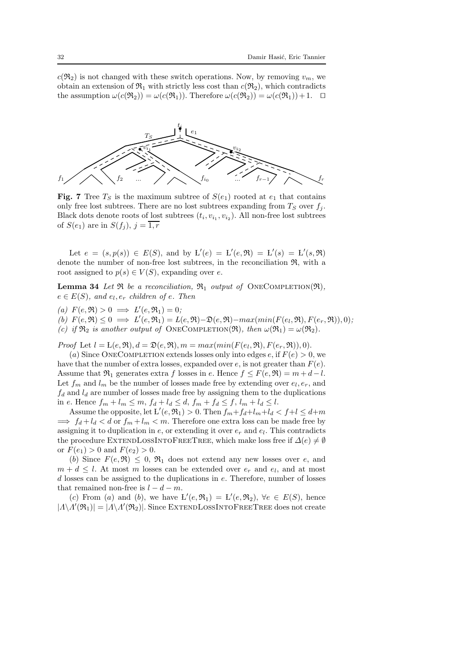$c(\mathfrak{R}_2)$  is not changed with these switch operations. Now, by removing  $v_m$ , we obtain an extension of  $\mathfrak{R}_1$  with strictly less cost than  $c(\mathfrak{R}_2)$ , which contradicts the assumption  $\omega(c(\mathfrak{R}_2)) = \omega(c(\mathfrak{R}_1))$ . Therefore  $\omega(c(\mathfrak{R}_2)) = \omega(c(\mathfrak{R}_1)) + 1$ . □

<span id="page-31-0"></span>

Fig. 7 Tree  $T<sub>S</sub>$  is the maximum subtree of  $S(e<sub>1</sub>)$  rooted at  $e<sub>1</sub>$  that contains only free lost subtrees. There are no lost subtrees expanding from  $T<sub>S</sub>$  over  $f<sub>i</sub>$ . Black dots denote roots of lost subtrees  $(t_i, v_{i_1}, v_{i_2})$ . All non-free lost subtrees of  $S(e_1)$  are in  $S(f_i)$ ,  $j=1, r$ 

Let  $e = (s, p(s)) \in E(S)$ , and by  $L'(e) = L'(e, \mathfrak{R}) = L'(s) = L'(s, \mathfrak{R})$ denote the number of non-free lost subtrees, in the reconciliation R, with a root assigned to  $p(s) \in V(S)$ , expanding over e.

<span id="page-31-1"></span>**Lemma 34** Let  $\Re$  be a reconciliation,  $\Re_1$  output of ONECOMPLETION( $\Re$ ),  $e \in E(S)$ , and  $e_l, e_r$  children of e. Then

(a)  $F(e, \mathfrak{R}) > 0 \implies L'(e, \mathfrak{R}_1) = 0;$ 

<span id="page-31-2"></span>(b)  $F(e, \mathfrak{R}) \leq 0 \implies L'(e, \mathfrak{R}_1) = L(e, \mathfrak{R}) - \mathfrak{D}(e, \mathfrak{R}) - \max(\min(F(e_l, \mathfrak{R}), F(e_r, \mathfrak{R})), 0);$ 

(c) if  $\mathfrak{R}_2$  is another output of ONECOMPLETION( $\mathfrak{R}$ ), then  $\omega(\mathfrak{R}_1) = \omega(\mathfrak{R}_2)$ .

Proof Let  $l = L(e, \mathfrak{R}), d = \mathfrak{D}(e, \mathfrak{R}), m = max(min(F(e_l, \mathfrak{R}), F(e_r, \mathfrak{R})), 0).$ 

(a) Since ONECOMPLETION extends losses only into edges e, if  $F(e) > 0$ , we have that the number of extra losses, expanded over e, is not greater than  $F(e)$ . Assume that  $\mathfrak{R}_1$  generates extra f losses in e. Hence  $f \leq F(e, \mathfrak{R}) = m + d - l$ . Let  $f_m$  and  $l_m$  be the number of losses made free by extending over  $e_l, e_r$ , and  $f_d$  and  $l_d$  are number of losses made free by assigning them to the duplications in e. Hence  $f_m + l_m \leq m$ ,  $f_d + l_d \leq d$ ,  $f_m + f_d \leq f$ ,  $l_m + l_d \leq l$ .

Assume the opposite, let  $L'(e, \mathfrak{R}_1) > 0$ . Then  $f_m + f_d + l_m + l_d < f + l \leq d+m$  $\implies f_d + l_d < d$  or  $f_m + l_m < m$ . Therefore one extra loss can be made free by assigning it to duplication in  $e$ , or extending it over  $e_r$  and  $e_l$ . This contradicts the procedure EXTENDLOSSINTOFREETREE, which make loss free if  $\Delta(e) \neq \emptyset$ or  $F(e_1) > 0$  and  $F(e_2) > 0$ .

(b) Since  $F(e, \mathfrak{R}) \leq 0$ ,  $\mathfrak{R}_1$  does not extend any new losses over e, and  $m + d \leq l$ . At most m losses can be extended over  $e_r$  and  $e_l$ , and at most  $d$  losses can be assigned to the duplications in  $e$ . Therefore, number of losses that remained non-free is  $l - d - m$ .

(c) From (a) and (b), we have  $L'(e, \mathfrak{R}_1) = L'(e, \mathfrak{R}_2)$ ,  $\forall e \in E(S)$ , hence  $|A \backslash A'(\mathfrak{R}_1)| = |A \backslash A'(\mathfrak{R}_2)|$ . Since EXTENDLOSSINTOFREETREE does not create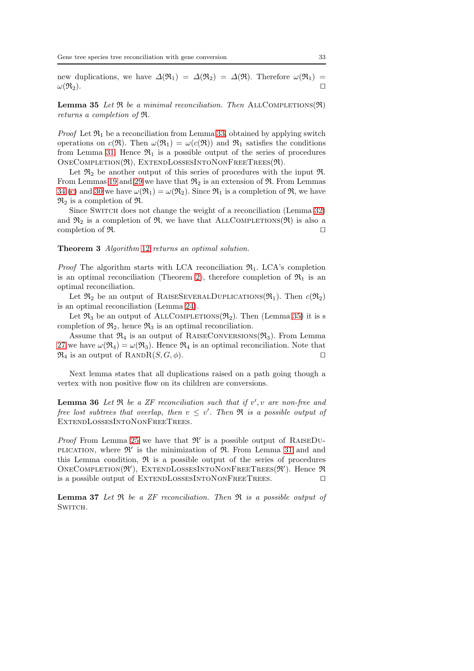new duplications, we have  $\Delta(\mathfrak{R}_1) = \Delta(\mathfrak{R}_2) = \Delta(\mathfrak{R})$ . Therefore  $\omega(\mathfrak{R}_1) =$  $\omega(\mathfrak{R}_2)$ .  $□$ 

<span id="page-32-0"></span>**Lemma 35** Let  $\Re$  be a minimal reconciliation. Then ALLCOMPLETIONS( $\Re$ ) returns a completion of R.

*Proof* Let  $\mathfrak{R}_1$  be a reconciliation from Lemma [33,](#page-28-1) obtained by applying switch operations on  $c(\mathfrak{R})$ . Then  $\omega(\mathfrak{R}_1) = \omega(c(\mathfrak{R}))$  and  $\mathfrak{R}_1$  satisfies the conditions from Lemma [31.](#page-26-1) Hence  $\mathfrak{R}_1$  is a possible output of the series of procedures  $ONECOMPLEITION(\mathfrak{R})$ , EXTENDLOSSESINTONONFREETREES $(\mathfrak{R})$ .

Let  $\mathfrak{R}_2$  be another output of this series of procedures with the input  $\mathfrak{R}$ . From Lemmas [19](#page-17-3) and [29](#page-25-2) we have that  $\mathfrak{R}_2$  is an extension of  $\mathfrak{R}$ . From Lemmas [34](#page-31-1) [\(c\)](#page-31-2) and [30](#page-26-2) we have  $\omega(\mathfrak{R}_1) = \omega(\mathfrak{R}_2)$ . Since  $\mathfrak{R}_1$  is a completion of  $\mathfrak{R}_2$ , we have  $\mathfrak{R}_2$  is a completion of  $\mathfrak{R}$ .

Since SWITCH does not change the weight of a reconciliation (Lemma [32\)](#page-28-0) and  $\mathfrak{R}_2$  is a completion of  $\mathfrak{R}$ , we have that ALLCOMPLETIONS( $\mathfrak{R}$ ) is also a completion of  $\Re$ . □

## Theorem 3 Algorithm [12](#page-30-0) returns an optimal solution.

*Proof* The algorithm starts with LCA reconciliation  $\mathfrak{R}_1$ . LCA's completion is an optimal reconciliation (Theorem [2\)](#page-14-0), therefore completion of  $\mathfrak{R}_1$  is an optimal reconciliation.

Let  $\mathfrak{R}_2$  be an output of RAISESEVERALDUPLICATIONS( $\mathfrak{R}_1$ ). Then  $c(\mathfrak{R}_2)$ is an optimal reconciliation (Lemma [24\)](#page-22-4).

Let  $\mathfrak{R}_3$  be an output of ALLCOMPLETIONS( $\mathfrak{R}_2$ ). Then (Lemma [35\)](#page-32-0) it is s completion of  $\mathfrak{R}_2$ , hence  $\mathfrak{R}_3$  is an optimal reconciliation.

Assume that  $\mathfrak{R}_4$  is an output of RAISECONVERSIONS( $\mathfrak{R}_3$ ). From Lemma [27](#page-23-2) we have  $\omega(\mathfrak{R}_4) = \omega(\mathfrak{R}_3)$ . Hence  $\mathfrak{R}_4$  is an optimal reconciliation. Note that  $\mathfrak{R}_4$  is an output of RANDR( $S, G, \phi$ ). □

<span id="page-32-1"></span>Next lemma states that all duplications raised on a path going though a vertex with non positive flow on its children are conversions.

**Lemma 36** Let  $\Re$  be a ZF reconciliation such that if  $v', v$  are non-free and free lost subtrees that overlap, then  $v \leq v'$ . Then  $\Re$  is a possible output of EXTENDLOSSESINTONONFREETREES.

*Proof* From Lemma [25](#page-22-3) we have that  $\mathfrak{R}'$  is a possible output of RAISEDU-PLICATION, where  $\mathfrak{R}'$  is the minimization of  $\mathfrak{R}$ . From Lemma [31](#page-26-1) and and this Lemma condition,  $\Re$  is a possible output of the series of procedures ONECOMPLETION( $\mathfrak{R}'$ ), EXTENDLOSSESINTONONFREETREES( $\mathfrak{R}'$ ). Hence  $\mathfrak{R}$ is a possible output of ExtendLossesIntoNonFreeTrees. ⊓⊔

<span id="page-32-2"></span>**Lemma 37** Let  $\Re$  be a ZF reconciliation. Then  $\Re$  is a possible output of SWITCH.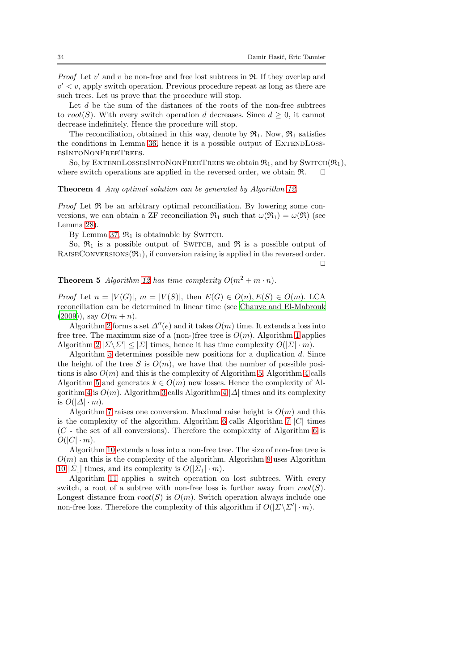*Proof* Let  $v'$  and  $v$  be non-free and free lost subtrees in  $\Re$ . If they overlap and  $v' < v$ , apply switch operation. Previous procedure repeat as long as there are such trees. Let us prove that the procedure will stop.

Let  $d$  be the sum of the distances of the roots of the non-free subtrees to root(S). With every switch operation d decreases. Since  $d \geq 0$ , it cannot decrease indefinitely. Hence the procedure will stop.

The reconciliation, obtained in this way, denote by  $\mathfrak{R}_1$ . Now,  $\mathfrak{R}_1$  satisfies the conditions in Lemma [36,](#page-32-1) hence it is a possible output of EXTENDLOSSesIntoNonFreeTrees.

So, by EXTENDLOSSESINTONONFREETREES we obtain  $\mathfrak{R}_1$ , and by SWITCH $(\mathfrak{R}_1)$ , where switch operations are applied in the reversed order, we obtain R. □

## Theorem 4 Any optimal solution can be generated by Algorithm [12.](#page-30-0)

*Proof* Let  $\Re$  be an arbitrary optimal reconciliation. By lowering some conversions, we can obtain a ZF reconciliation  $\mathfrak{R}_1$  such that  $\omega(\mathfrak{R}_1) = \omega(\mathfrak{R})$  (see Lemma [28\)](#page-24-1).

By Lemma [37,](#page-32-2)  $\mathfrak{R}_1$  is obtainable by SWITCH.

So,  $\mathfrak{R}_1$  is a possible output of SWITCH, and  $\mathfrak{R}$  is a possible output of RAISECONVERSIONS $(\mathfrak{R}_1)$ , if conversion raising is applied in the reversed order. ⊓⊔

# **Theorem 5** Algorithm [12](#page-30-0) has time complexity  $O(m^2 + m \cdot n)$ .

*Proof* Let  $n = |V(G)|$ ,  $m = |V(S)|$ , then  $E(G) \in O(n)$ ,  $E(S) \in O(m)$ . LCA reconciliation can be determined in linear time (see [Chauve and El-Mabrouk](#page-35-8)  $(2009)$ , say  $O(m + n)$ .

Algorithm [2](#page-17-2) forms a set  $\Delta''(e)$  and it takes  $O(m)$  time. It extends a loss into free tree. The maximum size of a (non-)free tree is  $O(m)$ . Algorithm [1](#page-17-1) applies Algorithm  $2 |\Sigma \backslash \Sigma'| \leq |\Sigma|$  times, hence it has time complexity  $O(|\Sigma| \cdot m)$ .

Algorithm [5](#page-23-0) determines possible new positions for a duplication  $d$ . Since the height of the tree S is  $O(m)$ , we have that the number of possible positions is also  $O(m)$  and this is the complexity of Algorithm [5.](#page-23-0) Algorithm [4](#page-22-1) calls Algorithm [5](#page-23-0) and generates  $k \in O(m)$  new losses. Hence the complexity of Al-gorithm [4](#page-22-1) is  $O(m)$ . Algorithm [3](#page-22-0) calls Algorithm 4  $|\Delta|$  times and its complexity is  $O(|\Delta| \cdot m)$ .

Algorithm [7](#page-24-2) raises one conversion. Maximal raise height is  $O(m)$  and this is the complexity of the algorithm. Algorithm [6](#page-24-0) calls Algorithm [7](#page-24-2)  $|C|$  times  $(C -$  the set of all conversions). Therefore the complexity of Algorithm [6](#page-24-0) is  $O(|C| \cdot m)$ .

Algorithm [10](#page-26-0) extends a loss into a non-free tree. The size of non-free tree is  $O(m)$  an this is the complexity of the algorithm. Algorithm [9](#page-25-1) uses Algorithm [10](#page-26-0)  $|\Sigma_1|$  times, and its complexity is  $O(|\Sigma_1| \cdot m)$ .

Algorithm [11](#page-29-1) applies a switch operation on lost subtrees. With every switch, a root of a subtree with non-free loss is further away from  $root(S)$ . Longest distance from  $root(S)$  is  $O(m)$ . Switch operation always include one non-free loss. Therefore the complexity of this algorithm if  $O(|\Sigma \backslash \Sigma'| \cdot m)$ .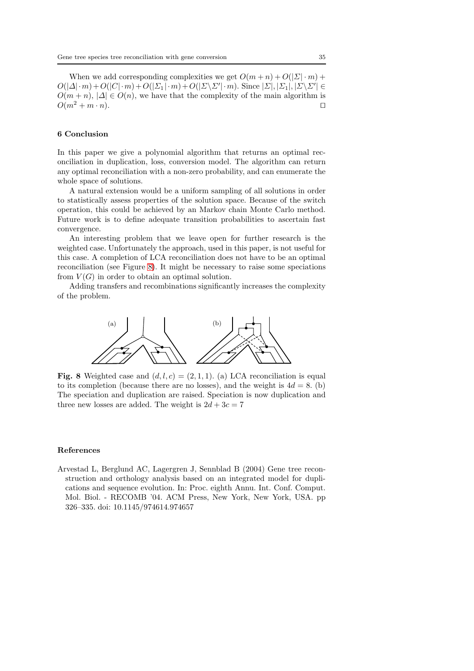When we add corresponding complexities we get  $O(m+n) + O(|\mathbf{\Sigma}| \cdot m)$  +  $O(|\Delta| \cdot m) + O(|C| \cdot m) + O(|\Sigma_1| \cdot m) + O(|\Sigma \setminus \Sigma'| \cdot m)$ . Since  $|\Sigma|, |\Sigma_1|, |\Sigma \setminus \Sigma'| \in$  $O(m + n)$ ,  $|\Delta| \in O(n)$ , we have that the complexity of the main algorithm is  $O(m^2 + m \cdot n)$ . □

## 6 Conclusion

In this paper we give a polynomial algorithm that returns an optimal reconciliation in duplication, loss, conversion model. The algorithm can return any optimal reconciliation with a non-zero probability, and can enumerate the whole space of solutions.

A natural extension would be a uniform sampling of all solutions in order to statistically assess properties of the solution space. Because of the switch operation, this could be achieved by an Markov chain Monte Carlo method. Future work is to define adequate transition probabilities to ascertain fast convergence.

An interesting problem that we leave open for further research is the weighted case. Unfortunately the approach, used in this paper, is not useful for this case. A completion of LCA reconciliation does not have to be an optimal reconciliation (see Figure [8\)](#page-34-1). It might be necessary to raise some speciations from  $V(G)$  in order to obtain an optimal solution.

<span id="page-34-1"></span>Adding transfers and recombinations significantly increases the complexity of the problem.



Fig. 8 Weighted case and  $(d, l, c) = (2, 1, 1)$ . (a) LCA reconciliation is equal to its completion (because there are no losses), and the weight is  $4d = 8$ . (b) The speciation and duplication are raised. Speciation is now duplication and three new losses are added. The weight is  $2d + 3c = 7$ 

## References

<span id="page-34-0"></span>Arvestad L, Berglund AC, Lagergren J, Sennblad B (2004) Gene tree reconstruction and orthology analysis based on an integrated model for duplications and sequence evolution. In: Proc. eighth Annu. Int. Conf. Comput. Mol. Biol. - RECOMB '04. ACM Press, New York, New York, USA. pp 326–335. doi: 10.1145/974614.974657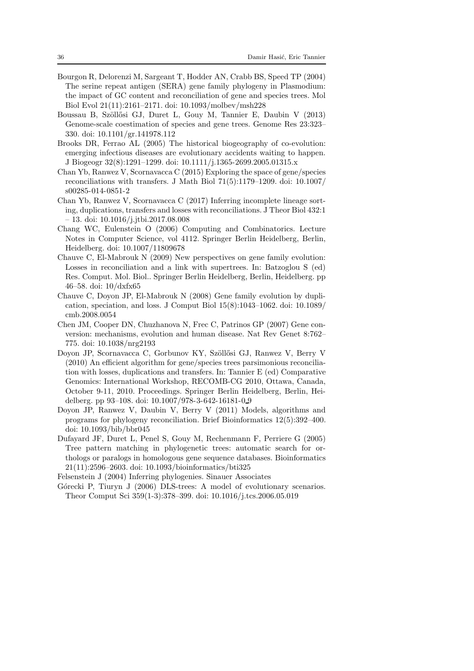- <span id="page-35-2"></span>Bourgon R, Delorenzi M, Sargeant T, Hodder AN, Crabb BS, Speed TP (2004) The serine repeat antigen (SERA) gene family phylogeny in Plasmodium: the impact of GC content and reconciliation of gene and species trees. Mol Biol Evol 21(11):2161–2171. doi: 10.1093/molbev/msh228
- <span id="page-35-6"></span>Boussau B, Szöllősi GJ, Duret L, Gouy M, Tannier E, Daubin V (2013) Genome-scale coestimation of species and gene trees. Genome Res 23:323– 330. doi: 10.1101/gr.141978.112
- <span id="page-35-3"></span>Brooks DR, Ferrao AL (2005) The historical biogeography of co-evolution: emerging infectious diseases are evolutionary accidents waiting to happen. J Biogeogr 32(8):1291–1299. doi: 10.1111/j.1365-2699.2005.01315.x
- <span id="page-35-12"></span>Chan Yb, Ranwez V, Scornavacca C (2015) Exploring the space of gene/species reconciliations with transfers. J Math Biol 71(5):1179–1209. doi: 10.1007/ s00285-014-0851-2
- <span id="page-35-13"></span>Chan Yb, Ranwez V, Scornavacca C (2017) Inferring incomplete lineage sorting, duplications, transfers and losses with reconciliations. J Theor Biol 432:1 – 13. doi: 10.1016/j.jtbi.2017.08.008
- <span id="page-35-10"></span>Chang WC, Eulenstein O (2006) Computing and Combinatorics. Lecture Notes in Computer Science, vol 4112. Springer Berlin Heidelberg, Berlin, Heidelberg. doi: 10.1007/11809678
- <span id="page-35-8"></span>Chauve C, El-Mabrouk N (2009) New perspectives on gene family evolution: Losses in reconciliation and a link with supertrees. In: Batzoglou S (ed) Res. Comput. Mol. Biol.. Springer Berlin Heidelberg, Berlin, Heidelberg. pp 46–58. doi: 10/dxfx65
- <span id="page-35-9"></span>Chauve C, Doyon JP, El-Mabrouk N (2008) Gene family evolution by duplication, speciation, and loss. J Comput Biol  $15(8)$ :1043–1062. doi: 10.1089/ cmb.2008.0054
- <span id="page-35-4"></span>Chen JM, Cooper DN, Chuzhanova N, Frec C, Patrinos GP (2007) Gene conversion: mechanisms, evolution and human disease. Nat Rev Genet 8:762– 775. doi: 10.1038/nrg2193
- <span id="page-35-11"></span>Doyon JP, Scornavacca C, Gorbunov KY, Szöllősi GJ, Ranwez V, Berry V (2010) An efficient algorithm for gene/species trees parsimonious reconciliation with losses, duplications and transfers. In: Tannier E (ed) Comparative Genomics: International Workshop, RECOMB-CG 2010, Ottawa, Canada, October 9-11, 2010. Proceedings. Springer Berlin Heidelberg, Berlin, Heidelberg. pp 93–108. doi: 10.1007/978-3-642-16181-0 9
- <span id="page-35-1"></span>Doyon JP, Ranwez V, Daubin V, Berry V (2011) Models, algorithms and programs for phylogeny reconciliation. Brief Bioinformatics 12(5):392–400. doi: 10.1093/bib/bbr045
- <span id="page-35-0"></span>Dufayard JF, Duret L, Penel S, Gouy M, Rechenmann F, Perriere G (2005) Tree pattern matching in phylogenetic trees: automatic search for orthologs or paralogs in homologous gene sequence databases. Bioinformatics 21(11):2596–2603. doi: 10.1093/bioinformatics/bti325

<span id="page-35-5"></span>Felsenstein J (2004) Inferring phylogenies. Sinauer Associates

<span id="page-35-7"></span>Górecki P, Tiuryn J (2006) DLS-trees: A model of evolutionary scenarios. Theor Comput Sci 359(1-3):378–399. doi: 10.1016/j.tcs.2006.05.019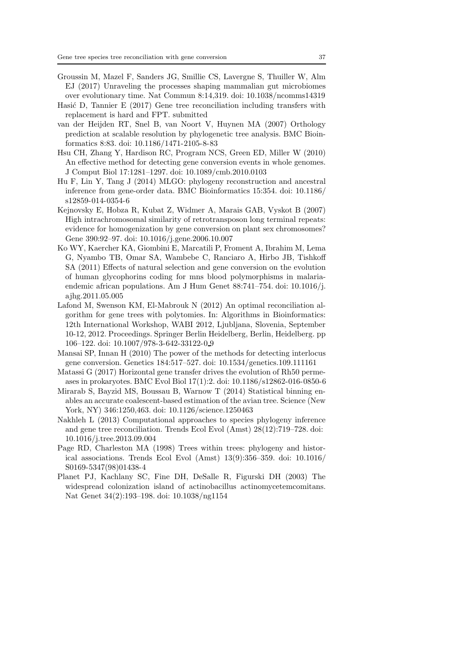- <span id="page-36-2"></span>Groussin M, Mazel F, Sanders JG, Smillie CS, Lavergne S, Thuiller W, Alm EJ (2017) Unraveling the processes shaping mammalian gut microbiomes over evolutionary time. Nat Commun 8:14,319. doi: 10.1038/ncomms14319
- <span id="page-36-12"></span>Hasić D, Tannier E  $(2017)$  Gene tree reconciliation including transfers with replacement is hard and FPT. submitted
- <span id="page-36-3"></span>van der Heijden RT, Snel B, van Noort V, Huynen MA (2007) Orthology prediction at scalable resolution by phylogenetic tree analysis. BMC Bioinformatics 8:83. doi: 10.1186/1471-2105-8-83
- <span id="page-36-8"></span>Hsu CH, Zhang Y, Hardison RC, Program NCS, Green ED, Miller W (2010) An effective method for detecting gene conversion events in whole genomes. J Comput Biol 17:1281–1297. doi: 10.1089/cmb.2010.0103
- <span id="page-36-6"></span>Hu F, Lin Y, Tang J (2014) MLGO: phylogeny reconstruction and ancestral inference from gene-order data. BMC Bioinformatics 15:354. doi: 10.1186/ s12859-014-0354-6
- <span id="page-36-10"></span>Kejnovsky E, Hobza R, Kubat Z, Widmer A, Marais GAB, Vyskot B (2007) High intrachromosomal similarity of retrotransposon long terminal repeats: evidence for homogenization by gene conversion on plant sex chromosomes? Gene 390:92–97. doi: 10.1016/j.gene.2006.10.007
- <span id="page-36-5"></span>Ko WY, Kaercher KA, Giombini E, Marcatili P, Froment A, Ibrahim M, Lema G, Nyambo TB, Omar SA, Wambebe C, Ranciaro A, Hirbo JB, Tishkoff SA (2011) Effects of natural selection and gene conversion on the evolution of human glycophorins coding for mns blood polymorphisms in malariaendemic african populations. Am J Hum Genet 88:741–754. doi: 10.1016/j. ajhg.2011.05.005
- <span id="page-36-11"></span>Lafond M, Swenson KM, El-Mabrouk N (2012) An optimal reconciliation algorithm for gene trees with polytomies. In: Algorithms in Bioinformatics: 12th International Workshop, WABI 2012, Ljubljana, Slovenia, September 10-12, 2012. Proceedings. Springer Berlin Heidelberg, Berlin, Heidelberg. pp 106–122. doi: 10.1007/978-3-642-33122-0 9
- <span id="page-36-9"></span>Mansai SP, Innan H (2010) The power of the methods for detecting interlocus gene conversion. Genetics 184:517–527. doi: 10.1534/genetics.109.111161
- <span id="page-36-1"></span>Matassi G (2017) Horizontal gene transfer drives the evolution of Rh50 permeases in prokaryotes. BMC Evol Biol 17(1):2. doi: 10.1186/s12862-016-0850-6
- <span id="page-36-7"></span>Mirarab S, Bayzid MS, Boussau B, Warnow T (2014) Statistical binning enables an accurate coalescent-based estimation of the avian tree. Science (New York, NY) 346:1250,463. doi: 10.1126/science.1250463
- <span id="page-36-13"></span>Nakhleh L (2013) Computational approaches to species phylogeny inference and gene tree reconciliation. Trends Ecol Evol (Amst) 28(12):719–728. doi: 10.1016/j.tree.2013.09.004
- <span id="page-36-4"></span>Page RD, Charleston MA (1998) Trees within trees: phylogeny and historical associations. Trends Ecol Evol (Amst) 13(9):356–359. doi: 10.1016/ S0169-5347(98)01438-4
- <span id="page-36-0"></span>Planet PJ, Kachlany SC, Fine DH, DeSalle R, Figurski DH (2003) The widespread colonization island of actinobacillus actinomycetemcomitans. Nat Genet 34(2):193–198. doi: 10.1038/ng1154